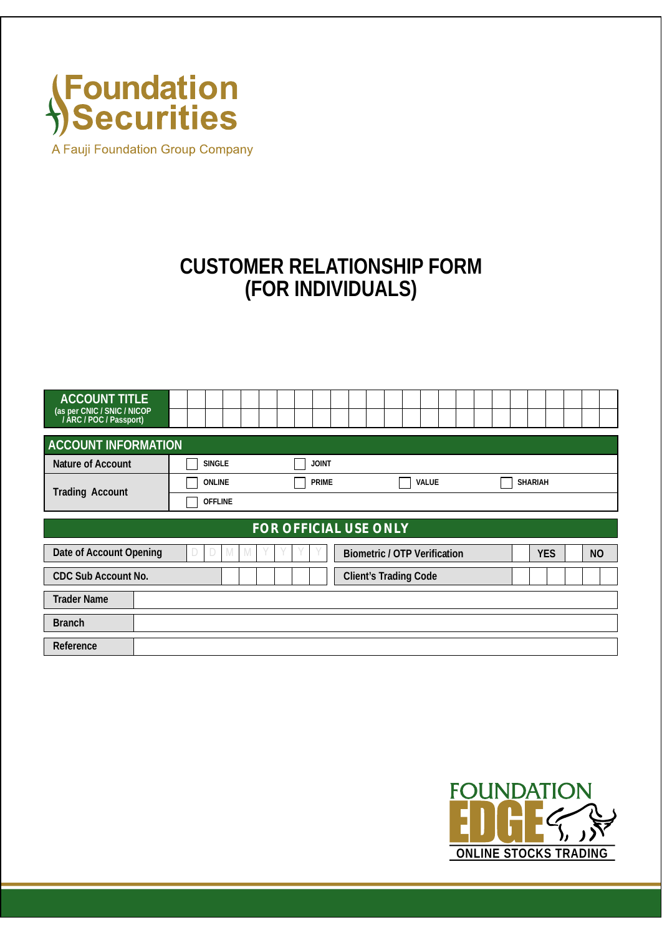

A Fauji Foundation Group Company

## **CUSTOMER RELATIONSHIP FORM (FOR INDIVIDUALS)**

| <b>ACCOUNT TITLE</b><br>(as per CNIC / SNIC / NICOP / ARC / POC / Passport) |               |              |              |                                     |  |  |  |                |            |  |                |  |
|-----------------------------------------------------------------------------|---------------|--------------|--------------|-------------------------------------|--|--|--|----------------|------------|--|----------------|--|
| <b>ACCOUNT INFORMATION</b>                                                  |               |              |              |                                     |  |  |  |                |            |  |                |  |
| Nature of Account                                                           | <b>SINGLE</b> | <b>JOINT</b> |              |                                     |  |  |  |                |            |  |                |  |
| <b>Trading Account</b>                                                      | <b>PRIME</b>  |              | <b>VALUE</b> |                                     |  |  |  | <b>SHARIAH</b> |            |  |                |  |
| <b>OFFLINE</b>                                                              |               |              |              |                                     |  |  |  |                |            |  |                |  |
| <b>FOR OFFICIAL USE ONLY</b>                                                |               |              |              |                                     |  |  |  |                |            |  |                |  |
|                                                                             |               |              |              |                                     |  |  |  |                |            |  |                |  |
| Date of Account Opening                                                     | M<br>M.       |              |              | <b>Biometric / OTP Verification</b> |  |  |  |                | <b>YES</b> |  | N <sub>O</sub> |  |
| <b>CDC Sub Account No.</b>                                                  |               |              |              | <b>Client's Trading Code</b>        |  |  |  |                |            |  |                |  |
| <b>Trader Name</b>                                                          |               |              |              |                                     |  |  |  |                |            |  |                |  |
| <b>Branch</b>                                                               |               |              |              |                                     |  |  |  |                |            |  |                |  |
| Reference                                                                   |               |              |              |                                     |  |  |  |                |            |  |                |  |

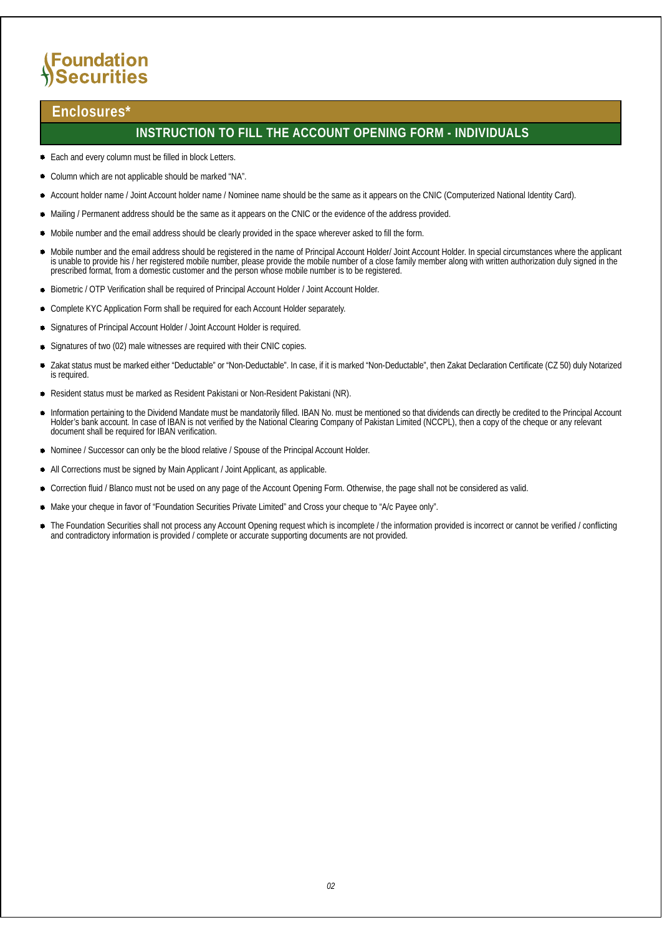## **(Foundation Securities**

### **Enclosures\***

### **INSTRUCTION TO FILL THE ACCOUNT OPENING FORM - INDIVIDUALS**

- Each and every column must be filled in block Letters.
- Column which are not applicable should be marked "NA".
- Account holder name / Joint Account holder name / Nominee name should be the same as it appears on the CNIC (Computerized National Identity Card).
- Mailing / Permanent address should be the same as it appears on the CNIC or the evidence of the address provided.
- Mobile number and the email address should be clearly provided in the space wherever asked to fill the form.
- Mobile number and the email address should be registered in the name of Principal Account Holder/ Joint Account Holder. In special circumstances where the applicant is unable to provide his / her registered mobile number, please provide the mobile number of a close family member along with written authorization duly signed in the prescribed format, from a domestic customer and the person whose mobile number is to be registered.
- Biometric / OTP Verification shall be required of Principal Account Holder / Joint Account Holder.
- $\bullet$ Complete KYC Application Form shall be required for each Account Holder separately.
- Signatures of Principal Account Holder / Joint Account Holder is required.
- Signatures of two (02) male witnesses are required with their CNIC copies.
- Zakat status must be marked either "Deductable" or "Non-Deductable". In case, if it is marked "Non-Deductable", then Zakat Declaration Certificate (CZ 50) duly Notarized is required.
- Resident status must be marked as Resident Pakistani or Non-Resident Pakistani (NR).
- $\bullet$ Information pertaining to the Dividend Mandate must be mandatorily filled. IBAN No. must be mentioned so that dividends can directly be credited to the Principal Account Holder's bank account. In case of IBAN is not verified by the National Clearing Company of Pakistan Limited (NCCPL), then a copy of the cheque or any relevant document shall be required for IBAN verification.
- Nominee / Successor can only be the blood relative / Spouse of the Principal Account Holder.
- All Corrections must be signed by Main Applicant / Joint Applicant, as applicable.
- Correction fluid / Blanco must not be used on any page of the Account Opening Form. Otherwise, the page shall not be considered as valid.
- Make your cheque in favor of "Foundation Securities Private Limited" and Cross your cheque to "A/c Payee only".
- The Foundation Securities shall not process any Account Opening request which is incomplete / the information provided is incorrect or cannot be verified / conflicting and contradictory information is provided / complete or accurate supporting documents are not provided.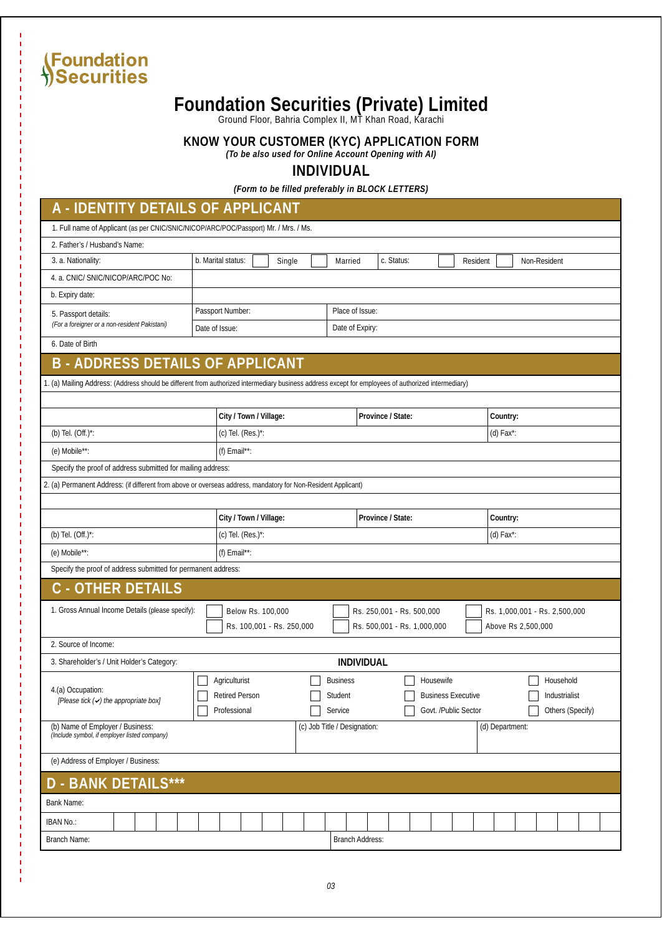## **Foundation Securities (Private) Limited**

Ground Floor, Bahria Complex II, MT Khan Road, Karachi

**KNOW YOUR CUSTOMER (KYC) APPLICATION FORM**

*(To be also used for Online Account Opening with AI)*

**INDIVIDUAL**

*(Form to be filled preferably in BLOCK LETTERS)*

### **A - IDENTITY DETAILS OF APPLICANT**

| 1. Full name of Applicant (as per CNIC/SNIC/NICOP/ARC/POC/Passport) Mr. / Mrs. / Ms.                                                                |                              |                       |                                 |  |  |  |  |  |  |  |
|-----------------------------------------------------------------------------------------------------------------------------------------------------|------------------------------|-----------------------|---------------------------------|--|--|--|--|--|--|--|
| 2. Father's / Husband's Name:                                                                                                                       |                              |                       |                                 |  |  |  |  |  |  |  |
| 3. a. Nationality:                                                                                                                                  | b. Marital status:<br>Single | c. Status:<br>Married | <b>Non-Resident</b><br>Resident |  |  |  |  |  |  |  |
| 4. a. CNIC/ SNIC/NICOP/ARC/POC No:                                                                                                                  |                              |                       |                                 |  |  |  |  |  |  |  |
| b. Expiry date:                                                                                                                                     |                              |                       |                                 |  |  |  |  |  |  |  |
| 5. Passport details:<br>(For a foreigner or a non-resident Pakistani)                                                                               | <b>Passport Number:</b>      | Place of Issue:       |                                 |  |  |  |  |  |  |  |
|                                                                                                                                                     | Date of Issue:               | Date of Expiry:       |                                 |  |  |  |  |  |  |  |
| 6. Date of Birth                                                                                                                                    |                              |                       |                                 |  |  |  |  |  |  |  |
| <b>B-ADDRESS DETAILS OF APPLICANT</b>                                                                                                               |                              |                       |                                 |  |  |  |  |  |  |  |
| 1. (a) Mailing Address: (Address should be different from authorized intermediary business address except for employees of authorized intermediary) |                              |                       |                                 |  |  |  |  |  |  |  |
|                                                                                                                                                     |                              |                       |                                 |  |  |  |  |  |  |  |
|                                                                                                                                                     | City / Town / Village:       | Province / State:     | Country:                        |  |  |  |  |  |  |  |
| (b) Tel. $(Off.)^*$ :                                                                                                                               | $(c)$ Tel. $(Res.)^*$ :      |                       | (d) Fax*:                       |  |  |  |  |  |  |  |
| $(e)$ Mobile**:                                                                                                                                     | $(f)$ Email**:               |                       |                                 |  |  |  |  |  |  |  |
| Specify the proof of address submitted for mailing address:                                                                                         |                              |                       |                                 |  |  |  |  |  |  |  |
| 2. (a) Permanent Address: (if different from above or overseas address, mandatory for Non-Resident Applicant)                                       |                              |                       |                                 |  |  |  |  |  |  |  |
|                                                                                                                                                     |                              |                       |                                 |  |  |  |  |  |  |  |

|                                                               | City / Town / Village:                                | Province / State:                                        | Country:                                            |  |  |  |  |  |  |  |
|---------------------------------------------------------------|-------------------------------------------------------|----------------------------------------------------------|-----------------------------------------------------|--|--|--|--|--|--|--|
| (b) Tel. $(Off.)^*$ :                                         | $(c)$ Tel. $(Res.)^*$ :                               | (d) Fax*:                                                |                                                     |  |  |  |  |  |  |  |
| (e) Mobile**:                                                 | (f) $Email**$ :                                       |                                                          |                                                     |  |  |  |  |  |  |  |
| Specify the proof of address submitted for permanent address: |                                                       |                                                          |                                                     |  |  |  |  |  |  |  |
| <b>C</b> - OTHER DETAILS                                      |                                                       |                                                          |                                                     |  |  |  |  |  |  |  |
| 1. Gross Annual Income Details (please specify):              | <b>Below Rs. 100,000</b><br>Rs. 100,001 - Rs. 250,000 | Rs. 250,001 - Rs. 500,000<br>Rs. 500,001 - Rs. 1,000,000 | Rs. 1,000,001 - Rs. 2,500,000<br>Above Rs 2,500,000 |  |  |  |  |  |  |  |
|                                                               |                                                       |                                                          |                                                     |  |  |  |  |  |  |  |

**Housewife Business Executive** Govt. /Public Sector

Household Industrialist Others (Specify)

(d) Department:

| 1. Gross Annual Income Details (please specify):                                 | <b>Below Rs. 100,000</b><br>Rs. 100,001 - Rs. 250,000  |                                                     | Rs. 250,001 - Rs. 500,000<br>Rs. 500,001 - Rs. 1,000,000 |
|----------------------------------------------------------------------------------|--------------------------------------------------------|-----------------------------------------------------|----------------------------------------------------------|
| 2. Source of Income:                                                             |                                                        |                                                     |                                                          |
| 3. Shareholder's / Unit Holder's Category:                                       |                                                        | <b>INDIVIDUAL</b>                                   |                                                          |
| 4.(a) Occupation:<br>$[Please\,$ tick $(4)$ the appropriate box]                 | Agriculturist<br><b>Retired Person</b><br>Professional | <b>Business</b><br><b>Student</b><br><b>Service</b> | Housewi<br><b>Business</b><br>Govt. /Pu                  |
| (b) Name of Employer / Business:<br>(Include symbol, if employer listed company) |                                                        | (c) Job Title / Designation:                        |                                                          |

### (e) Address of Employer / Business:

## **D - BANK DETAILS\*\*\***

| <b>Bank Name:</b>   |  |  |  |  |  |                        |  |  |  |  |  |  |
|---------------------|--|--|--|--|--|------------------------|--|--|--|--|--|--|
| <b>IBAN No.:</b>    |  |  |  |  |  |                        |  |  |  |  |  |  |
| <b>Branch Name:</b> |  |  |  |  |  | <b>Branch Address:</b> |  |  |  |  |  |  |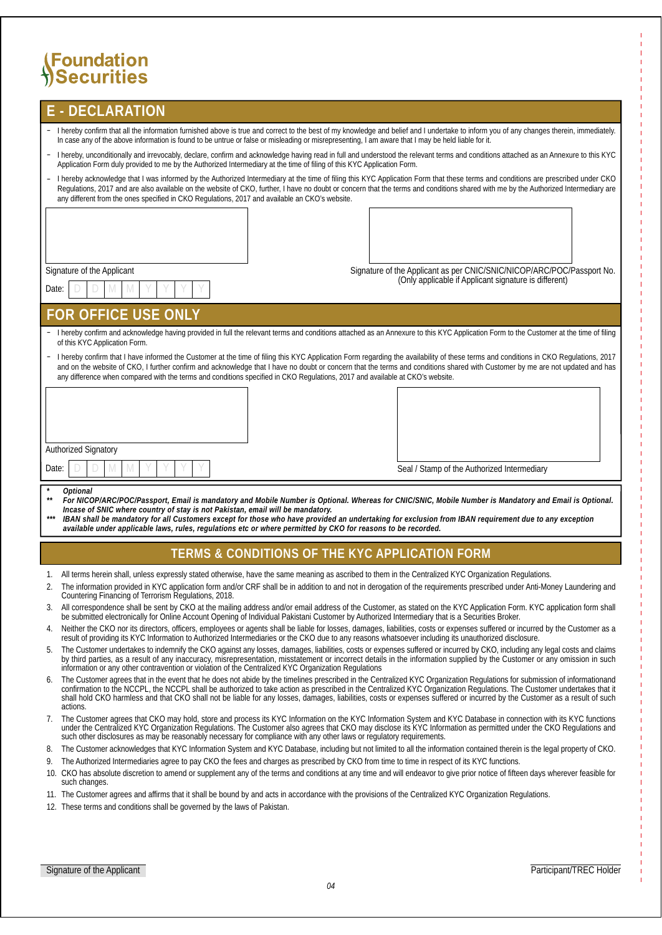| <b>E-DECLARATION</b>                                                                                                                                                                                                                                                                                                                                                                                                                                                                                        |                                                                        |
|-------------------------------------------------------------------------------------------------------------------------------------------------------------------------------------------------------------------------------------------------------------------------------------------------------------------------------------------------------------------------------------------------------------------------------------------------------------------------------------------------------------|------------------------------------------------------------------------|
| - I hereby confirm that all the information furnished above is true and correct to the best of my knowledge and belief and I undertake to inform you of any changes therein, immediately.<br>In case any of the above information is found to be untrue or false or misleading or misrepresenting, I am aware that I may be held liable for it.                                                                                                                                                             |                                                                        |
| I hereby, unconditionally and irrevocably, declare, confirm and acknowledge having read in full and understood the relevant terms and conditions attached as an Annexure to this KYC<br>-<br>Application Form duly provided to me by the Authorized Intermediary at the time of filing of this KYC Application Form.                                                                                                                                                                                        |                                                                        |
| I hereby acknowledge that I was informed by the Authorized Intermediary at the time of filing this KYC Application Form that these terms and conditions are prescribed under CKO<br>$\overline{\phantom{0}}$<br>Regulations, 2017 and are also available on the website of CKO, further, I have no doubt or concern that the terms and conditions shared with me by the Authorized Intermediary are<br>any different from the ones specified in CKO Regulations, 2017 and available an CKO's website.       |                                                                        |
|                                                                                                                                                                                                                                                                                                                                                                                                                                                                                                             |                                                                        |
| <b>Signature of the Applicant</b>                                                                                                                                                                                                                                                                                                                                                                                                                                                                           | Signature of the Applicant as per CNIC/SNIC/NICOP/ARC/POC/Passport No. |
|                                                                                                                                                                                                                                                                                                                                                                                                                                                                                                             | (Only applicable if Applicant signature is different)                  |
| Date:                                                                                                                                                                                                                                                                                                                                                                                                                                                                                                       |                                                                        |
| <b>FOR OFFICE USE ONLY</b>                                                                                                                                                                                                                                                                                                                                                                                                                                                                                  |                                                                        |
| I hereby confirm and acknowledge having provided in full the relevant terms and conditions attached as an Annexure to this KYC Application Form to the Customer at the time of filing<br>of this KYC Application Form.                                                                                                                                                                                                                                                                                      |                                                                        |
| I hereby confirm that I have informed the Customer at the time of filing this KYC Application Form regarding the availability of these terms and conditions in CKO Regulations, 2017<br>-<br>and on the website of CKO, I further confirm and acknowledge that I have no doubt or concern that the terms and conditions shared with Customer by me are not updated and has<br>any difference when compared with the terms and conditions specified in CKO Regulations, 2017 and available at CKO's website. |                                                                        |
|                                                                                                                                                                                                                                                                                                                                                                                                                                                                                                             |                                                                        |
| <b>Authorized Signatory</b>                                                                                                                                                                                                                                                                                                                                                                                                                                                                                 |                                                                        |
| M<br>Date:                                                                                                                                                                                                                                                                                                                                                                                                                                                                                                  | Seal / Stamp of the Authorized Intermediary                            |
| <i>Optional</i><br>For NICOP/ARC/POC/Passport, Email is mandatory and Mobile Number is Optional. Whereas for CNIC/SNIC, Mobile Number is Mandatory and Email is Optional.<br>Incase of SNIC where country of stay is not Pakistan, email will be mandatory.<br>IDAN chall be mendatory for all Cyctomera execut for those who have provided an undertaking for exclusion from IDAN requirement due to any execution                                                                                         |                                                                        |

*\*\*\* IBAN shall be mandatory for all Customers except for those who have provided an undertaking for exclusion from IBAN requirement due to any exception available under applicable laws, rules, regulations etc or where permitted by CKO for reasons to be recorded.*

### **TERMS & CONDITIONS OF THE KYC APPLICATION FORM**

- 1. All terms herein shall, unless expressly stated otherwise, have the same meaning as ascribed to them in the Centralized KYC Organization Regulations.
- 2. The information provided in KYC application form and/or CRF shall be in addition to and not in derogation of the requirements prescribed under Anti-Money Laundering and Countering Financing of Terrorism Regulations, 2018.
- 3. All correspondence shall be sent by CKO at the mailing address and/or email address of the Customer, as stated on the KYC Application Form. KYC application form shall be submitted electronically for Online Account Opening of Individual Pakistani Customer by Authorized Intermediary that is a Securities Broker.
- 4. Neither the CKO nor its directors, officers, employees or agents shall be liable for losses, damages, liabilities, costs or expenses suffered or incurred by the Customer as a result of providing its KYC Information to Authorized Intermediaries or the CKO due to any reasons whatsoever including its unauthorized disclosure.
- 5. The Customer undertakes to indemnify the CKO against any losses, damages, liabilities, costs or expenses suffered or incurred by CKO, including any legal costs and claims by third parties, as a result of any inaccuracy, misrepresentation, misstatement or incorrect details in the information supplied by the Customer or any omission in such information or any other contravention or violation of the Centralized KYC Organization Regulations
- 6. The Customer agrees that in the event that he does not abide by the timelines prescribed in the Centralized KYC Organization Regulations for submission of informationand confirmation to the NCCPL, the NCCPL shall be authorized to take action as prescribed in the Centralized KYC Organization Regulations. The Customer undertakes that it shall hold CKO harmless and that CKO shall not be liable for any losses, damages, liabilities, costs or expenses suffered or incurred by the Customer as a result of such actions.
- 7. The Customer agrees that CKO may hold, store and process its KYC Information on the KYC Information System and KYC Database in connection with its KYC functions under the Centralized KYC Organization Regulations. The Customer also agrees that CKO may disclose its KYC Information as permitted under the CKO Regulations and such other disclosures as may be reasonably necessary for compliance with any other laws or regulatory requirements.
- 8. The Customer acknowledges that KYC Information System and KYC Database, including but not limited to all the information contained therein is the legal property of CKO.

9. The Authorized Intermediaries agree to pay CKO the fees and charges as prescribed by CKO from time to time in respect of its KYC functions.

- 10. CKO has absolute discretion to amend or supplement any of the terms and conditions at any time and will endeavor to give prior notice of fifteen days wherever feasible for such changes.
- 11. The Customer agrees and affirms that it shall be bound by and acts in accordance with the provisions of the Centralized KYC Organization Regulations.
- 12. These terms and conditions shall be governed by the laws of Pakistan.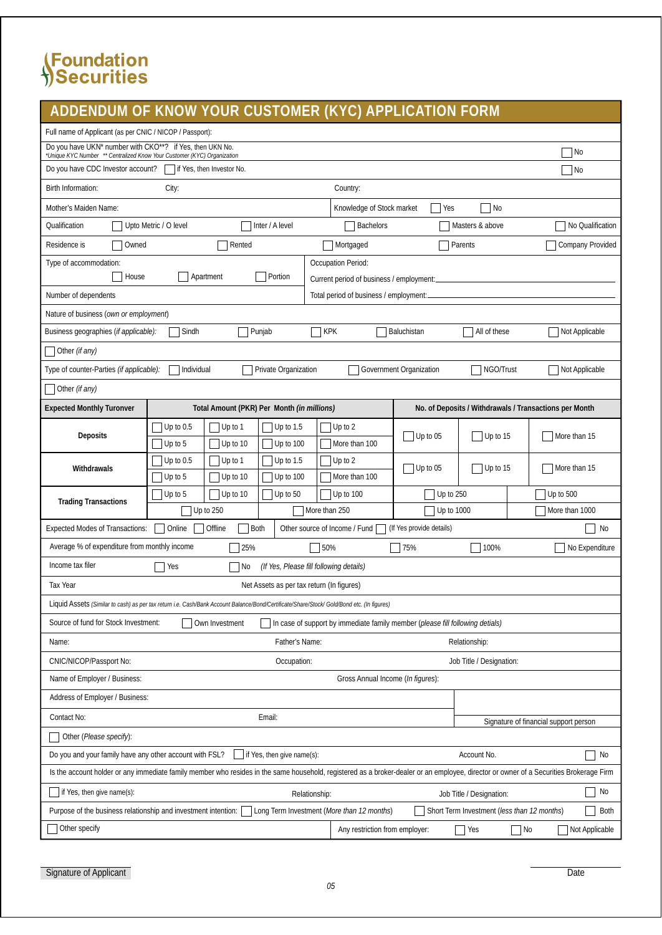## **ADDENDUM OF KNOW YOUR CUSTOMER (KYC) APPLICATION FORM**

| Full name of Applicant (as per CNIC / NICOP / Passport):                                                                                               |                                                                                                                                                                                        |                                                   |                                                                               |                          |                                                        |                                       |  |  |  |  |
|--------------------------------------------------------------------------------------------------------------------------------------------------------|----------------------------------------------------------------------------------------------------------------------------------------------------------------------------------------|---------------------------------------------------|-------------------------------------------------------------------------------|--------------------------|--------------------------------------------------------|---------------------------------------|--|--|--|--|
| Do you have UKN* number with CKO**? if Yes, then UKN No.<br>*Unique KYC Number ** Centralized Know Your Customer (KYC) Organization                    |                                                                                                                                                                                        |                                                   |                                                                               |                          |                                                        | No                                    |  |  |  |  |
| Do you have CDC Investor account?                                                                                                                      | if Yes, then Investor No.                                                                                                                                                              |                                                   |                                                                               |                          |                                                        | No                                    |  |  |  |  |
| <b>Birth Information:</b>                                                                                                                              | City:                                                                                                                                                                                  |                                                   | Country:                                                                      |                          |                                                        |                                       |  |  |  |  |
| <b>Mother's Maiden Name:</b>                                                                                                                           |                                                                                                                                                                                        |                                                   | <b>Knowledge of Stock market</b>                                              | Yes                      | No                                                     |                                       |  |  |  |  |
| Qualification                                                                                                                                          | Upto Metric / O level                                                                                                                                                                  | Inter / A level                                   | <b>Bachelors</b>                                                              |                          | Masters & above                                        | No Qualification                      |  |  |  |  |
| Residence is<br>Owned                                                                                                                                  | Rented                                                                                                                                                                                 |                                                   | Mortgaged                                                                     |                          | Parents                                                | <b>Company Provided</b>               |  |  |  |  |
| Type of accommodation:                                                                                                                                 |                                                                                                                                                                                        |                                                   | <b>Occupation Period:</b>                                                     |                          |                                                        |                                       |  |  |  |  |
| House                                                                                                                                                  | Apartment                                                                                                                                                                              | Portion                                           | Current period of business / employment:                                      |                          |                                                        |                                       |  |  |  |  |
| Number of dependents                                                                                                                                   |                                                                                                                                                                                        |                                                   | Total period of business / employment:                                        |                          |                                                        |                                       |  |  |  |  |
| Nature of business (own or employment)<br>$\overline{\phantom{a}}$ KPK                                                                                 |                                                                                                                                                                                        |                                                   |                                                                               |                          |                                                        |                                       |  |  |  |  |
| Sindh<br>Baluchistan<br>All of these<br>Not Applicable<br>Business geographies ( <i>if applicable):</i><br>Punjab                                      |                                                                                                                                                                                        |                                                   |                                                                               |                          |                                                        |                                       |  |  |  |  |
| Other (if any)                                                                                                                                         |                                                                                                                                                                                        |                                                   |                                                                               |                          |                                                        |                                       |  |  |  |  |
| NGO/Trust<br>Type of counter-Parties (if applicable):<br>Individual<br><b>Private Organization</b><br><b>Government Organization</b><br>Not Applicable |                                                                                                                                                                                        |                                                   |                                                                               |                          |                                                        |                                       |  |  |  |  |
| Other (if any)                                                                                                                                         |                                                                                                                                                                                        |                                                   |                                                                               |                          |                                                        |                                       |  |  |  |  |
| <b>Expected Monthly Turonver</b>                                                                                                                       |                                                                                                                                                                                        | Total Amount (PKR) Per Month <i>(in millions)</i> |                                                                               |                          | No. of Deposits / Withdrawals / Transactions per Month |                                       |  |  |  |  |
| <b>Deposits</b>                                                                                                                                        | Up to $0.5$<br>Up to $1$<br>Up to $5$<br>Up to $10$                                                                                                                                    | Up to $1.5$<br>Up to 100                          | Up to 2<br>More than 100                                                      | $ $ Up to 05             | Up to 15                                               | More than 15                          |  |  |  |  |
|                                                                                                                                                        | Up to $0.5$<br>Up to 2<br>Up to $1$<br>Up to $1.5$<br>$ $ Up to 05<br>Withdrawals<br>Up to 5<br>More than 100<br>Up to 10<br>Up to 100                                                 |                                                   |                                                                               |                          |                                                        |                                       |  |  |  |  |
|                                                                                                                                                        |                                                                                                                                                                                        |                                                   |                                                                               |                          | Up to 15                                               | More than 15                          |  |  |  |  |
| <b>Trading Transactions</b>                                                                                                                            | Up to $5$<br>Up to $10$                                                                                                                                                                | Up to 50                                          | Up to $100$                                                                   | Up to 250                |                                                        | Up to $500$                           |  |  |  |  |
|                                                                                                                                                        | Up to $250$                                                                                                                                                                            |                                                   | More than 250                                                                 | <b>Up to 1000</b>        |                                                        | More than 1000                        |  |  |  |  |
| <b>Expected Modes of Transactions:</b>                                                                                                                 | Online<br>Offline                                                                                                                                                                      | <b>Both</b>                                       | Other source of Income / Fund                                                 | (If Yes provide details) |                                                        | No                                    |  |  |  |  |
| Average % of expenditure from monthly income                                                                                                           | 25%                                                                                                                                                                                    |                                                   | 50%                                                                           | 75\%                     | 100%                                                   | No Expenditure                        |  |  |  |  |
| Income tax filer                                                                                                                                       | Yes<br>No                                                                                                                                                                              | (If Yes, Please fill following details)           |                                                                               |                          |                                                        |                                       |  |  |  |  |
| <b>Tax Year</b>                                                                                                                                        |                                                                                                                                                                                        | Net Assets as per tax return (In figures)         |                                                                               |                          |                                                        |                                       |  |  |  |  |
|                                                                                                                                                        | Liquid Assets <i>(Similar to cash) as per tax return i.e. Cash/Bank Account Balance/Bond/Certificate/Share/Stock/Gold/Bond etc. (In figures)</i>                                       |                                                   |                                                                               |                          |                                                        |                                       |  |  |  |  |
| Source of fund for Stock Investment:                                                                                                                   | Own Investment                                                                                                                                                                         |                                                   | In case of support by immediate family member (please fill following detials) |                          |                                                        |                                       |  |  |  |  |
| Name:                                                                                                                                                  |                                                                                                                                                                                        | <b>Father's Name:</b>                             |                                                                               |                          | Relationship:                                          |                                       |  |  |  |  |
| <b>CNIC/NICOP/Passport No:</b>                                                                                                                         |                                                                                                                                                                                        | Occupation:                                       |                                                                               |                          | Job Title / Designation:                               |                                       |  |  |  |  |
| Name of Employer / Business:                                                                                                                           |                                                                                                                                                                                        |                                                   | Gross Annual Income (In figures):                                             |                          |                                                        |                                       |  |  |  |  |
| <b>Address of Employer / Business:</b>                                                                                                                 |                                                                                                                                                                                        |                                                   |                                                                               |                          |                                                        |                                       |  |  |  |  |
| <b>Contact No:</b>                                                                                                                                     |                                                                                                                                                                                        | Email:                                            |                                                                               |                          |                                                        | Signature of financial support person |  |  |  |  |
| Other (Please specify):                                                                                                                                |                                                                                                                                                                                        |                                                   |                                                                               |                          |                                                        |                                       |  |  |  |  |
| Do you and your family have any other account with FSL?                                                                                                |                                                                                                                                                                                        | $\blacksquare$ if Yes, then give name(s):         |                                                                               |                          | Account No.                                            | No                                    |  |  |  |  |
|                                                                                                                                                        | Is the account holder or any immediate family member who resides in the same household, registered as a broker-dealer or an employee, director or owner of a Securities Brokerage Firm |                                                   |                                                                               |                          |                                                        |                                       |  |  |  |  |
| No<br>if Yes, then give name(s):<br>Relationship:<br>Job Title / Designation:                                                                          |                                                                                                                                                                                        |                                                   |                                                                               |                          |                                                        |                                       |  |  |  |  |
| Purpose of the business relationship and investment intention:                                                                                         |                                                                                                                                                                                        | Long Term Investment (More than 12 months)        |                                                                               |                          | Short Term Investment (less than 12 months)            | Both                                  |  |  |  |  |
| Other specify                                                                                                                                          |                                                                                                                                                                                        |                                                   | Any restriction from employer:                                                |                          | Yes                                                    | Not Applicable<br>No                  |  |  |  |  |

Signature of Applicant Date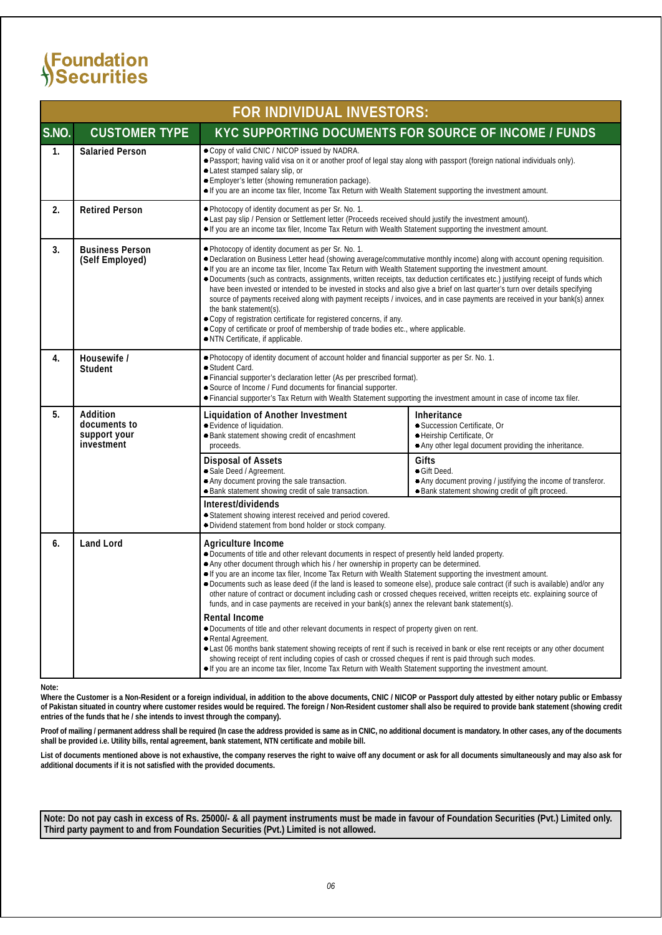|       | FOR INDIVIDUAL INVESTORS:                              |                                                                                                                                                                                                                                                                                                                                                                                                                                                                                                                                                                                                                                                                                                                                                                                                                                                                                                                                   |                                                                                                                                            |  |  |  |  |  |  |  |  |
|-------|--------------------------------------------------------|-----------------------------------------------------------------------------------------------------------------------------------------------------------------------------------------------------------------------------------------------------------------------------------------------------------------------------------------------------------------------------------------------------------------------------------------------------------------------------------------------------------------------------------------------------------------------------------------------------------------------------------------------------------------------------------------------------------------------------------------------------------------------------------------------------------------------------------------------------------------------------------------------------------------------------------|--------------------------------------------------------------------------------------------------------------------------------------------|--|--|--|--|--|--|--|--|
| S.NO. | <b>CUSTOMER TYPE</b>                                   | KYC SUPPORTING DOCUMENTS FOR SOURCE OF INCOME / FUNDS                                                                                                                                                                                                                                                                                                                                                                                                                                                                                                                                                                                                                                                                                                                                                                                                                                                                             |                                                                                                                                            |  |  |  |  |  |  |  |  |
| 1.    | <b>Salaried Person</b>                                 | • Copy of valid CNIC / NICOP issued by NADRA.<br>· Passport; having valid visa on it or another proof of legal stay along with passport (foreign national individuals only).<br>· Latest stamped salary slip, or<br>· Employer's letter (showing remuneration package).<br>• If you are an income tax filer, Income Tax Return with Wealth Statement supporting the investment amount.                                                                                                                                                                                                                                                                                                                                                                                                                                                                                                                                            |                                                                                                                                            |  |  |  |  |  |  |  |  |
| 2.    | <b>Retired Person</b>                                  | • Photocopy of identity document as per Sr. No. 1.<br>· Last pay slip / Pension or Settlement letter (Proceeds received should justify the investment amount).<br>• If you are an income tax filer, Income Tax Return with Wealth Statement supporting the investment amount.                                                                                                                                                                                                                                                                                                                                                                                                                                                                                                                                                                                                                                                     |                                                                                                                                            |  |  |  |  |  |  |  |  |
| 3.    | <b>Business Person</b><br>(Self Employed)              | . Photocopy of identity document as per Sr. No. 1.<br>• Declaration on Business Letter head (showing average/commutative monthly income) along with account opening requisition.<br>• If you are an income tax filer, Income Tax Return with Wealth Statement supporting the investment amount.<br>• Documents (such as contracts, assignments, written receipts, tax deduction certificates etc.) justifying receipt of funds which<br>have been invested or intended to be invested in stocks and also give a brief on last quarter's turn over details specifying<br>source of payments received along with payment receipts / invoices, and in case payments are received in your bank(s) annex<br>the bank statement(s).<br>· Copy of registration certificate for registered concerns, if any.<br>• Copy of certificate or proof of membership of trade bodies etc., where applicable.<br>• NTN Certificate, if applicable. |                                                                                                                                            |  |  |  |  |  |  |  |  |
| 4.    | Housewife /<br>Student                                 | . Photocopy of identity document of account holder and financial supporter as per Sr. No. 1.<br>Student Card.<br>• Financial supporter's declaration letter (As per prescribed format).<br>• Source of Income / Fund documents for financial supporter.<br>• Financial supporter's Tax Return with Wealth Statement supporting the investment amount in case of income tax filer.                                                                                                                                                                                                                                                                                                                                                                                                                                                                                                                                                 |                                                                                                                                            |  |  |  |  |  |  |  |  |
| 5.    | Addition<br>documents to<br>support your<br>investment | <b>Inheritance</b><br>• Succession Certificate, Or<br>· Heirship Certificate, Or<br>• Any other legal document providing the inheritance.                                                                                                                                                                                                                                                                                                                                                                                                                                                                                                                                                                                                                                                                                                                                                                                         |                                                                                                                                            |  |  |  |  |  |  |  |  |
|       |                                                        | <b>Disposal of Assets</b><br>· Sale Deed / Agreement.<br>• Any document proving the sale transaction.<br>· Bank statement showing credit of sale transaction.                                                                                                                                                                                                                                                                                                                                                                                                                                                                                                                                                                                                                                                                                                                                                                     | Gifts<br>• Gift Deed.<br>• Any document proving / justifying the income of transferor.<br>· Bank statement showing credit of gift proceed. |  |  |  |  |  |  |  |  |
|       |                                                        | Interest/dividends<br>· Statement showing interest received and period covered.<br>· Dividend statement from bond holder or stock company.                                                                                                                                                                                                                                                                                                                                                                                                                                                                                                                                                                                                                                                                                                                                                                                        |                                                                                                                                            |  |  |  |  |  |  |  |  |
| 6.    | <b>Land Lord</b>                                       | Agriculture Income<br>• Documents of title and other relevant documents in respect of presently held landed property.<br>• Any other document through which his / her ownership in property can be determined.<br>• If you are an income tax filer, Income Tax Return with Wealth Statement supporting the investment amount.<br>· Documents such as lease deed (if the land is leased to someone else), produce sale contract (if such is available) and/or any<br>other nature of contract or document including cash or crossed cheques received, written receipts etc. explaining source of<br>funds, and in case payments are received in your bank(s) annex the relevant bank statement(s).                                                                                                                                                                                                                                 |                                                                                                                                            |  |  |  |  |  |  |  |  |
|       |                                                        | <b>Rental Income</b><br>• Documents of title and other relevant documents in respect of property given on rent.<br>● Rental Agreement.<br>• Last 06 months bank statement showing receipts of rent if such is received in bank or else rent receipts or any other document<br>showing receipt of rent including copies of cash or crossed cheques if rent is paid through such modes.<br>• If you are an income tax filer, Income Tax Return with Wealth Statement supporting the investment amount.                                                                                                                                                                                                                                                                                                                                                                                                                              |                                                                                                                                            |  |  |  |  |  |  |  |  |

#### **Note:**

**Where the Customer is a Non-Resident or a foreign individual, in addition to the above documents, CNIC / NICOP or Passport duly attested by either notary public or Embassy of Pakistan situated in country where customer resides would be required. The foreign / Non-Resident customer shall also be required to provide bank statement (showing credit entries of the funds that he / she intends to invest through the company).**

**Proof of mailing / permanent address shall be required (In case the address provided is same as in CNIC, no additional document is mandatory. In other cases, any of the documents shall be provided i.e. Utility bills, rental agreement, bank statement, NTN certificate and mobile bill.**

**List of documents mentioned above is not exhaustive, the company reserves the right to waive off any document or ask for all documents simultaneously and may also ask for additional documents if it is not satisfied with the provided documents.**

**Note: Do not pay cash in excess of Rs. 25000/- & all payment instruments must be made in favour of Foundation Securities (Pvt.) Limited only. Third party payment to and from Foundation Securities (Pvt.) Limited is not allowed.**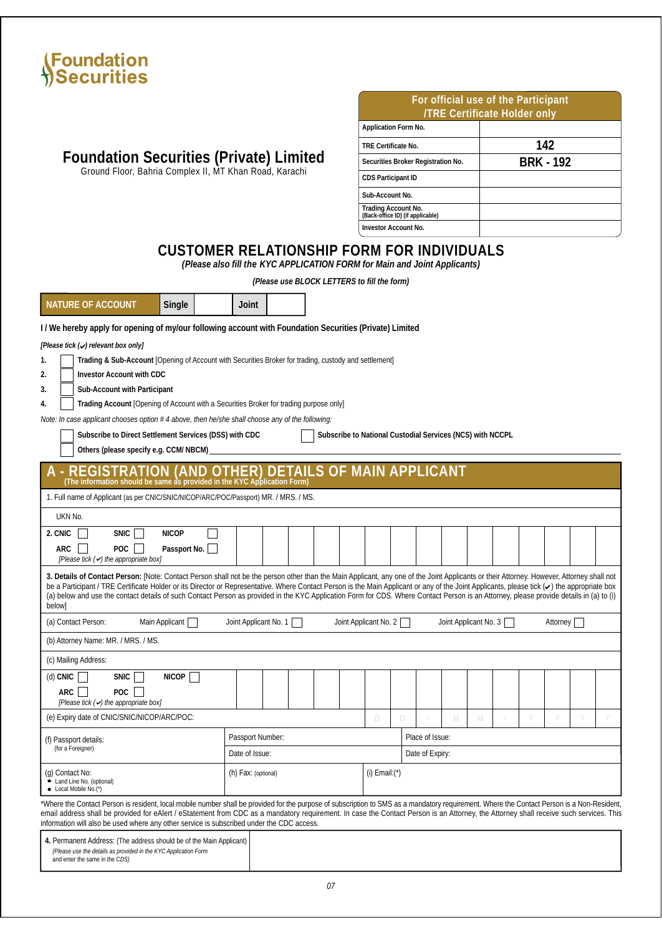

| For official use of the Participant<br><b>TRE Certificate Holder only</b> |                  |  |  |  |  |  |  |  |  |
|---------------------------------------------------------------------------|------------------|--|--|--|--|--|--|--|--|
| Application Form No.                                                      |                  |  |  |  |  |  |  |  |  |
| TRE Certificate No.                                                       | 142              |  |  |  |  |  |  |  |  |
| Securities Broker Registration No.                                        | <b>BRK - 192</b> |  |  |  |  |  |  |  |  |
| <b>CDS</b> Participant ID                                                 |                  |  |  |  |  |  |  |  |  |
| Sub-Account No.                                                           |                  |  |  |  |  |  |  |  |  |
| Trading Account No.<br>(Back-office ID) (if applicable)                   |                  |  |  |  |  |  |  |  |  |
| <b>Investor Account No.</b>                                               |                  |  |  |  |  |  |  |  |  |

### **Foundation Securities (Private) Limited** Ground Floor, Bahria Complex II, MT Khan Road, Karachi

## **CUSTOMER RELATIONSHIP FORM FOR INDIVIDUALS**

*(Please also fill the KYC APPLICATION FORM for Main and Joint Applicants)*

*(Please use BLOCK LETTERS to fill the form)*

| NATURE OF ACCOUNT<br>Single                                                                                                                                                                                                                                                                                                                                                                                                                                                                                                                                                                              | Joint                   |                                           |  |                       |              |   |                 |                       |   |  |  |         |   |  |  |
|----------------------------------------------------------------------------------------------------------------------------------------------------------------------------------------------------------------------------------------------------------------------------------------------------------------------------------------------------------------------------------------------------------------------------------------------------------------------------------------------------------------------------------------------------------------------------------------------------------|-------------------------|-------------------------------------------|--|-----------------------|--------------|---|-----------------|-----------------------|---|--|--|---------|---|--|--|
|                                                                                                                                                                                                                                                                                                                                                                                                                                                                                                                                                                                                          |                         |                                           |  |                       |              |   |                 |                       |   |  |  |         |   |  |  |
| I/We hereby apply for opening of my/our following account with Foundation Securities (Private) Limited                                                                                                                                                                                                                                                                                                                                                                                                                                                                                                   |                         |                                           |  |                       |              |   |                 |                       |   |  |  |         |   |  |  |
| [Please tick (v) relevant box only]                                                                                                                                                                                                                                                                                                                                                                                                                                                                                                                                                                      |                         |                                           |  |                       |              |   |                 |                       |   |  |  |         |   |  |  |
| Trading & Sub-Account [Opening of Account with Securities Broker for trading, custody and settlement]<br>1.<br>2.                                                                                                                                                                                                                                                                                                                                                                                                                                                                                        |                         |                                           |  |                       |              |   |                 |                       |   |  |  |         |   |  |  |
| <b>Investor Account with CDC</b><br>3.<br>Sub-Account with Participant                                                                                                                                                                                                                                                                                                                                                                                                                                                                                                                                   |                         |                                           |  |                       |              |   |                 |                       |   |  |  |         |   |  |  |
| Trading Account [Opening of Account with a Securities Broker for trading purpose only]<br>4.                                                                                                                                                                                                                                                                                                                                                                                                                                                                                                             |                         |                                           |  |                       |              |   |                 |                       |   |  |  |         |   |  |  |
| Note: In case applicant chooses option # 4 above, then he/she shall choose any of the following:                                                                                                                                                                                                                                                                                                                                                                                                                                                                                                         |                         |                                           |  |                       |              |   |                 |                       |   |  |  |         |   |  |  |
| Subscribe to Direct Settlement Services (DSS) with CDC<br>Subscribe to National Custodial Services (NCS) with NCCPL<br>Others (please specify e.g. CCM/NBCM)                                                                                                                                                                                                                                                                                                                                                                                                                                             |                         |                                           |  |                       |              |   |                 |                       |   |  |  |         |   |  |  |
| <b>REGISTRATION (AND OTHER) DETAILS OF MAIN APPLICANT</b><br>(The information should be same as provided in the KYC Application Form)                                                                                                                                                                                                                                                                                                                                                                                                                                                                    |                         |                                           |  |                       |              |   |                 |                       |   |  |  |         |   |  |  |
| 1. Full name of Applicant (as per CNIC/SNIC/NICOP/ARC/POC/Passport) MR. / MRS. / MS.                                                                                                                                                                                                                                                                                                                                                                                                                                                                                                                     |                         |                                           |  |                       |              |   |                 |                       |   |  |  |         |   |  |  |
| UKN No.                                                                                                                                                                                                                                                                                                                                                                                                                                                                                                                                                                                                  |                         |                                           |  |                       |              |   |                 |                       |   |  |  |         |   |  |  |
| <b>NICOP</b><br>2. CNIC<br><b>SNIC</b>                                                                                                                                                                                                                                                                                                                                                                                                                                                                                                                                                                   |                         |                                           |  |                       |              |   |                 |                       |   |  |  |         |   |  |  |
| POC<br>Passport No.<br>ARC<br>[Please tick (<) the appropriate box]                                                                                                                                                                                                                                                                                                                                                                                                                                                                                                                                      |                         |                                           |  |                       |              |   |                 |                       |   |  |  |         |   |  |  |
| 3. Details of Contact Person: [Note: Contact Person shall not be the person other than the Main Applicant, any one of the Joint Applicants or their Attorney. However, Attorney shall not<br>be a Participant / TRE Certificate Holder or its Director or Representative. Where Contact Person is the Main Applicant or any of the Joint Applicants, please tick $(\checkmark)$ the appropriate box<br>(a) below and use the contact details of such Contact Person as provided in the KYC Application Form for CDS. Where Contact Person is an Attorney, please provide details in (a) to (i)<br>belowl |                         |                                           |  |                       |              |   |                 |                       |   |  |  |         |   |  |  |
| (a) Contact Person:<br>Main Applicant                                                                                                                                                                                                                                                                                                                                                                                                                                                                                                                                                                    | Joint Applicant No. 1   |                                           |  | Joint Applicant No. 2 |              |   |                 | Joint Applicant No. 3 |   |  |  | Attomey |   |  |  |
| (b) Attorney Name: MR. / MRS. / MS.                                                                                                                                                                                                                                                                                                                                                                                                                                                                                                                                                                      |                         |                                           |  |                       |              |   |                 |                       |   |  |  |         |   |  |  |
| (c) Mailing Address:                                                                                                                                                                                                                                                                                                                                                                                                                                                                                                                                                                                     |                         |                                           |  |                       |              |   |                 |                       |   |  |  |         |   |  |  |
| (d) CNIC<br><b>SNIC</b><br>NICOP                                                                                                                                                                                                                                                                                                                                                                                                                                                                                                                                                                         |                         |                                           |  |                       |              |   |                 |                       |   |  |  |         |   |  |  |
| POC<br>ARC<br>[Please tick (< ) the appropriate box]                                                                                                                                                                                                                                                                                                                                                                                                                                                                                                                                                     |                         |                                           |  |                       |              |   |                 |                       |   |  |  |         |   |  |  |
| (e) Expiry date of CNIC/SNIC/NICOP/ARC/POC:                                                                                                                                                                                                                                                                                                                                                                                                                                                                                                                                                              |                         |                                           |  |                       | $\mathbb{D}$ | D |                 | M                     | M |  |  |         | Y |  |  |
| (f) Passport details:                                                                                                                                                                                                                                                                                                                                                                                                                                                                                                                                                                                    | <b>Passport Number:</b> |                                           |  |                       |              |   | Place of Issue: |                       |   |  |  |         |   |  |  |
| (for a Foreigner)                                                                                                                                                                                                                                                                                                                                                                                                                                                                                                                                                                                        | Date of Issue:          |                                           |  |                       |              |   | Date of Expiry: |                       |   |  |  |         |   |  |  |
| (g) Contact No:<br>• Land Line No. (optional)<br>• Local Mobile No.(*)                                                                                                                                                                                                                                                                                                                                                                                                                                                                                                                                   |                         | (h) Fax: (optional)<br>$(i)$ Email: $(*)$ |  |                       |              |   |                 |                       |   |  |  |         |   |  |  |
| Where the Contact Person is resident, local mobile number shall be provided for the purpose of subscription to SMS as a mandatory requirement. Where the Contact Person is a Non-Resident,<br>email address shall be provided for eAlert / eStatement from CDC as a mandatory requirement. In case the Contact Person is an Attomey, the Attorney shall receive such services. This<br>information will also be used where any other service is subscribed under the CDC access.                                                                                                                         |                         |                                           |  |                       |              |   |                 |                       |   |  |  |         |   |  |  |

**4.** Permanent Address: (The address should be of the Main Applicant) *(Please use the details as provided in the KYC Application Form* and enter the same in the *CDS)*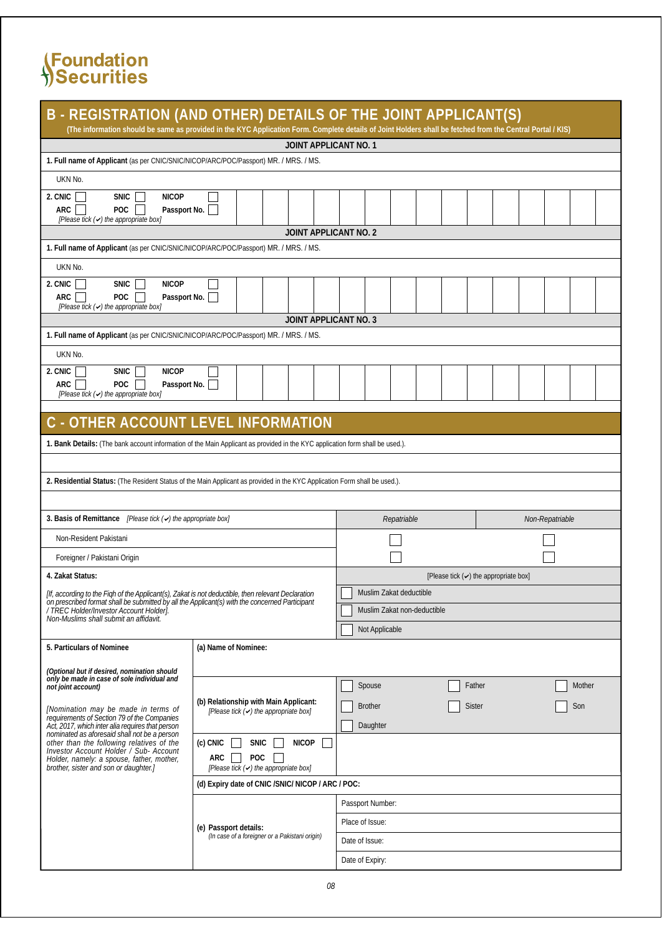| B - REGISTRATION (AND OTHER) DETAILS OF THE JOINT APPLICANT(S)<br>(The information should be same as provided in the KYC Application Form. Complete details of Joint Holders shall be fetched from the Central Portal / KIS) |                                                              |                             |                                                  |  |  |  |  |  |  |  |  |
|------------------------------------------------------------------------------------------------------------------------------------------------------------------------------------------------------------------------------|--------------------------------------------------------------|-----------------------------|--------------------------------------------------|--|--|--|--|--|--|--|--|
|                                                                                                                                                                                                                              | <b>JOINT APPLICANT NO. 1</b>                                 |                             |                                                  |  |  |  |  |  |  |  |  |
| 1. Full name of Applicant (as per CNIC/SNIC/NICOP/ARC/POC/Passport) MR. / MRS. / MS.                                                                                                                                         |                                                              |                             |                                                  |  |  |  |  |  |  |  |  |
| UKN No.                                                                                                                                                                                                                      |                                                              |                             |                                                  |  |  |  |  |  |  |  |  |
| 2. CNIC<br><b>SNIC</b><br><b>NICOP</b><br>$\mathbf{I}$<br>POC $\Box$<br>ARC<br>Passport No.<br>[Please tick (<) the appropriate box]                                                                                         |                                                              |                             |                                                  |  |  |  |  |  |  |  |  |
|                                                                                                                                                                                                                              | <b>JOINT APPLICANT NO. 2</b>                                 |                             |                                                  |  |  |  |  |  |  |  |  |
| 1. Full name of Applicant (as per CNIC/SNIC/NICOP/ARC/POC/Passport) MR. / MRS. / MS.                                                                                                                                         |                                                              |                             |                                                  |  |  |  |  |  |  |  |  |
| UKN No.                                                                                                                                                                                                                      |                                                              |                             |                                                  |  |  |  |  |  |  |  |  |
| 2. CNIC<br>SNIC  <br><b>NICOP</b><br><b>POC</b><br>ARC<br>Passport No.<br>[Please tick (+) the appropriate box]                                                                                                              |                                                              |                             |                                                  |  |  |  |  |  |  |  |  |
|                                                                                                                                                                                                                              | <b>JOINT APPLICANT NO. 3</b>                                 |                             |                                                  |  |  |  |  |  |  |  |  |
| 1. Full name of Applicant (as per CNIC/SNIC/NICOP/ARC/POC/Passport) MR. / MRS. / MS.                                                                                                                                         |                                                              |                             |                                                  |  |  |  |  |  |  |  |  |
| UKN No.                                                                                                                                                                                                                      |                                                              |                             |                                                  |  |  |  |  |  |  |  |  |
| 2. CNIC<br><b>SNIC</b><br><b>NICOP</b><br><b>POC</b><br>ARC<br>Passport No.<br>[Please tick (<) the appropriate box]                                                                                                         |                                                              |                             |                                                  |  |  |  |  |  |  |  |  |
|                                                                                                                                                                                                                              |                                                              |                             |                                                  |  |  |  |  |  |  |  |  |
| C - OTHER ACCOUNT LEVEL INFORMATION                                                                                                                                                                                          |                                                              |                             |                                                  |  |  |  |  |  |  |  |  |
| 1. Bank Details: (The bank account information of the Main Applicant as provided in the KYC application form shall be used.).                                                                                                |                                                              |                             |                                                  |  |  |  |  |  |  |  |  |
|                                                                                                                                                                                                                              |                                                              |                             |                                                  |  |  |  |  |  |  |  |  |
| 2. Residential Status: (The Resident Status of the Main Applicant as provided in the KYC Application Form shall be used.).                                                                                                   |                                                              |                             |                                                  |  |  |  |  |  |  |  |  |
|                                                                                                                                                                                                                              |                                                              |                             |                                                  |  |  |  |  |  |  |  |  |
| 3. Basis of Remittance /Please tick (<) the appropriate box/                                                                                                                                                                 |                                                              | Repatriable                 | Non-Repatriable                                  |  |  |  |  |  |  |  |  |
| <b>Non-Resident Pakistani</b>                                                                                                                                                                                                |                                                              |                             |                                                  |  |  |  |  |  |  |  |  |
|                                                                                                                                                                                                                              |                                                              |                             |                                                  |  |  |  |  |  |  |  |  |
| Foreigner / Pakistani Origin                                                                                                                                                                                                 |                                                              |                             |                                                  |  |  |  |  |  |  |  |  |
| 4. Zakat Status:                                                                                                                                                                                                             |                                                              |                             | [Please tick $(\checkmark)$ the appropriate box] |  |  |  |  |  |  |  |  |
|                                                                                                                                                                                                                              |                                                              |                             |                                                  |  |  |  |  |  |  |  |  |
| [If, according to the Figh of the Applicant(s), Zakat is not deductible, then relevant Declaration                                                                                                                           |                                                              | Muslim Zakat deductible     |                                                  |  |  |  |  |  |  |  |  |
| on prescribed format shall be submitted by all the Applicant(s) with the concerned Participant<br>/TREC Holder/Investor Account Holder/.<br>Non-Muslims shall submit an affidavit.                                           |                                                              | Muslim Zakat non-deductible |                                                  |  |  |  |  |  |  |  |  |
|                                                                                                                                                                                                                              |                                                              | Not Applicable              |                                                  |  |  |  |  |  |  |  |  |
| 5. Particulars of Nominee                                                                                                                                                                                                    | (a) Name of Nominee:                                         |                             |                                                  |  |  |  |  |  |  |  |  |
| (Optional but if desired, nomination should                                                                                                                                                                                  |                                                              |                             |                                                  |  |  |  |  |  |  |  |  |
| only be made in case of sole individual and<br>not joint account)                                                                                                                                                            |                                                              | <b>Spouse</b>               | Father<br>Mother                                 |  |  |  |  |  |  |  |  |
|                                                                                                                                                                                                                              | (b) Relationship with Main Applicant:                        | <b>Brother</b>              | <b>Sister</b><br>Son                             |  |  |  |  |  |  |  |  |
| [Nomination may be made in terms of<br>requirements of Section 79 of the Companies                                                                                                                                           | [Please tick (a) the appropriate box]                        |                             |                                                  |  |  |  |  |  |  |  |  |
| Act, 2017, which inter alia requires that person<br>nominated as aforesaid shall not be a person<br>other than the following relatives of the<br>Investor Account Holder / Sub- Account                                      | <b>SNIC</b><br><b>NICOP</b><br>(c) CNIC<br>ARC<br><b>POC</b> | Daughter                    |                                                  |  |  |  |  |  |  |  |  |
| Holder, namely: a spouse, father, mother,<br>brother, sister and son or daughter.                                                                                                                                            | [Please tick (<) the appropriate box]                        |                             |                                                  |  |  |  |  |  |  |  |  |
|                                                                                                                                                                                                                              | (d) Expiry date of CNIC / SNIC/ NICOP / ARC / POC:           |                             |                                                  |  |  |  |  |  |  |  |  |
|                                                                                                                                                                                                                              |                                                              | Passport Number:            |                                                  |  |  |  |  |  |  |  |  |
|                                                                                                                                                                                                                              | (e) Passport details:                                        | Place of Issue:             |                                                  |  |  |  |  |  |  |  |  |
|                                                                                                                                                                                                                              | (In case of a foreigner or a Pakistani origin)               | Date of Issue:              |                                                  |  |  |  |  |  |  |  |  |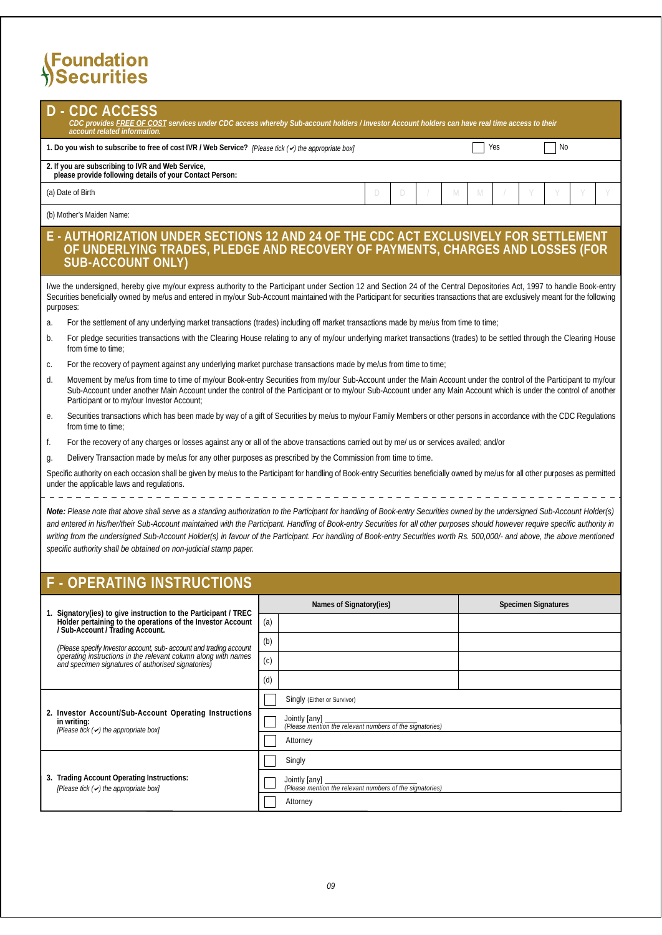**3. Trading Account Operating Instructions:**

*[Please tick ( ) the appropriate box]*

| CDC ACCESS<br>CDC provides FREE OF COST services under CDC access whereby Sub-account holders/Investor Account holders can have real time access to their                                                                                                                                                                                                                                                                                                                                                                                                                                                        |     |                                                                         |   |     |                            |  |  |  |  |  |
|------------------------------------------------------------------------------------------------------------------------------------------------------------------------------------------------------------------------------------------------------------------------------------------------------------------------------------------------------------------------------------------------------------------------------------------------------------------------------------------------------------------------------------------------------------------------------------------------------------------|-----|-------------------------------------------------------------------------|---|-----|----------------------------|--|--|--|--|--|
| account related information.                                                                                                                                                                                                                                                                                                                                                                                                                                                                                                                                                                                     |     |                                                                         |   |     |                            |  |  |  |  |  |
| 1. Do you wish to subscribe to free of cost IVR / Web Service? <i>[Please tick <math>(\prime)</math>] the appropriate box]</i>                                                                                                                                                                                                                                                                                                                                                                                                                                                                                   |     |                                                                         |   | Yes | No                         |  |  |  |  |  |
| 2. If you are subscribing to IVR and Web Service,<br>please provide following details of your Contact Person:                                                                                                                                                                                                                                                                                                                                                                                                                                                                                                    |     |                                                                         |   |     |                            |  |  |  |  |  |
| (a) Date of Birth                                                                                                                                                                                                                                                                                                                                                                                                                                                                                                                                                                                                |     | D<br>D<br>M                                                             | M |     |                            |  |  |  |  |  |
| (b) Mother's Maiden Name:                                                                                                                                                                                                                                                                                                                                                                                                                                                                                                                                                                                        |     |                                                                         |   |     |                            |  |  |  |  |  |
| AUTHORIZATION UNDER SECTIONS 12 AND 24 OF THE CDC ACT EXCLUSIVELY FOR SETTLEMENT<br>OF UNDERLYING TRADES, PLEDGE AND RECOVERY OF PAYMENTS, CHARGES AND LOSSES (FOR<br><b>SUB-ACCOUNT ONLY)</b>                                                                                                                                                                                                                                                                                                                                                                                                                   |     |                                                                         |   |     |                            |  |  |  |  |  |
| I/we the undersigned, hereby give my/our express authority to the Participant under Section 12 and Section 24 of the Central Depositories Act, 1997 to handle Book-entry<br>Securities beneficially owned by me/us and entered in my/our Sub-Account maintained with the Participant for securities transactions that are exclusively meant for the following<br>purposes:                                                                                                                                                                                                                                       |     |                                                                         |   |     |                            |  |  |  |  |  |
| For the settlement of any underlying market transactions (trades) including off market transactions made by me/us from time to time;<br>a.                                                                                                                                                                                                                                                                                                                                                                                                                                                                       |     |                                                                         |   |     |                            |  |  |  |  |  |
| For pledge securities transactions with the Clearing House relating to any of my/our underlying market transactions (trades) to be settled through the Clearing House<br>b.<br>from time to time;                                                                                                                                                                                                                                                                                                                                                                                                                |     |                                                                         |   |     |                            |  |  |  |  |  |
| For the recovery of payment against any underlying market purchase transactions made by me/us from time to time;<br>c.                                                                                                                                                                                                                                                                                                                                                                                                                                                                                           |     |                                                                         |   |     |                            |  |  |  |  |  |
| Movement by me/us from time to time of my/our Book-entry Securities from my/our Sub-Account under the Main Account under the control of the Participant to my/our<br>d.<br>Sub-Account under another Main Account under the control of the Participant or to my/our Sub-Account under any Main Account which is under the control of another<br>Participant or to my/our Investor Account;                                                                                                                                                                                                                       |     |                                                                         |   |     |                            |  |  |  |  |  |
| Securities transactions which has been made by way of a gift of Securities by me/us to my/our Family Members or other persons in accordance with the CDC Regulations<br>e.<br>from time to time;                                                                                                                                                                                                                                                                                                                                                                                                                 |     |                                                                         |   |     |                            |  |  |  |  |  |
| For the recovery of any charges or losses against any or all of the above transactions carried out by me/ us or services availed; and/or<br>f.                                                                                                                                                                                                                                                                                                                                                                                                                                                                   |     |                                                                         |   |     |                            |  |  |  |  |  |
| Delivery Transaction made by me/us for any other purposes as prescribed by the Commission from time to time.<br>g.                                                                                                                                                                                                                                                                                                                                                                                                                                                                                               |     |                                                                         |   |     |                            |  |  |  |  |  |
| Specific authority on each occasion shall be given by me/us to the Participant for handling of Book-entry Securities beneficially owned by me/us for all other purposes as permitted<br>under the applicable laws and regulations.                                                                                                                                                                                                                                                                                                                                                                               |     |                                                                         |   |     |                            |  |  |  |  |  |
| Note: Please note that above shall serve as a standing authorization to the Participant for handling of Book-entry Securities owned by the undersigned Sub-Account Holder(s)<br>and entered in his/her/their Sub-Account maintained with the Participant. Handling of Book-entry Securities for all other purposes should however require specific authority in<br>writing from the undersigned Sub-Account Holder(s) in favour of the Participant. For handling of Book-entry Securities worth Rs. 500,000- and above, the above mentioned<br>specific authority shall be obtained on non-judicial stamp paper. |     |                                                                         |   |     |                            |  |  |  |  |  |
| OPERATING INSTRUCTIONS                                                                                                                                                                                                                                                                                                                                                                                                                                                                                                                                                                                           |     |                                                                         |   |     |                            |  |  |  |  |  |
| 1. Signatory (ies) to give instruction to the Participant / TREC                                                                                                                                                                                                                                                                                                                                                                                                                                                                                                                                                 |     | Names of Signatory(ies)                                                 |   |     | <b>Specimen Signatures</b> |  |  |  |  |  |
| Holder pertaining to the operations of the Investor Account<br>/ Sub-Account / Trading Account.                                                                                                                                                                                                                                                                                                                                                                                                                                                                                                                  | (a) |                                                                         |   |     |                            |  |  |  |  |  |
| (Please specify Investor account, sub- account and trading account                                                                                                                                                                                                                                                                                                                                                                                                                                                                                                                                               | (b) |                                                                         |   |     |                            |  |  |  |  |  |
| operating instructions in the relevant column along with names<br>and specimen signatures of authorised signatories)                                                                                                                                                                                                                                                                                                                                                                                                                                                                                             | (c) |                                                                         |   |     |                            |  |  |  |  |  |
|                                                                                                                                                                                                                                                                                                                                                                                                                                                                                                                                                                                                                  | (d) |                                                                         |   |     |                            |  |  |  |  |  |
|                                                                                                                                                                                                                                                                                                                                                                                                                                                                                                                                                                                                                  |     | <b>Singly (Either or Survivor)</b>                                      |   |     |                            |  |  |  |  |  |
| 2. Investor Account/Sub-Account Operating Instructions<br>in writing:<br>[Please tick (v) the appropriate box]                                                                                                                                                                                                                                                                                                                                                                                                                                                                                                   |     | Jointly any<br>(Please mention the relevant numbers of the signatories) |   |     |                            |  |  |  |  |  |
|                                                                                                                                                                                                                                                                                                                                                                                                                                                                                                                                                                                                                  |     | Attorney                                                                |   |     |                            |  |  |  |  |  |
|                                                                                                                                                                                                                                                                                                                                                                                                                                                                                                                                                                                                                  |     | Singly                                                                  |   |     |                            |  |  |  |  |  |

Attorney

 $\overline{\phantom{0}}$  $\perp$  $\Box$  Jointly [any] *(Please mention the relevant numbers of the signatories)*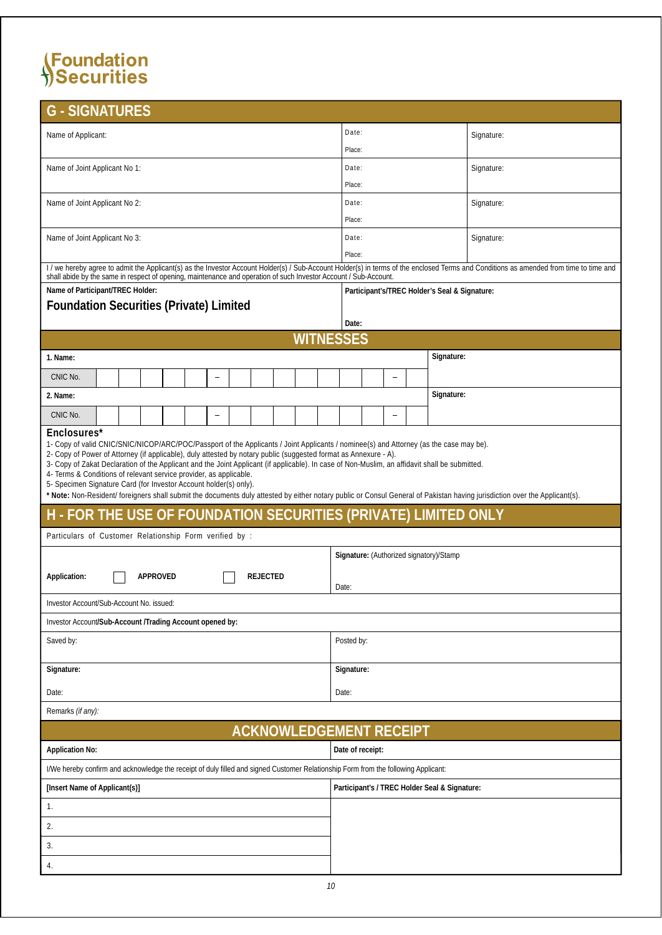| <b>G - SIGNATURES</b>                                                                                                                                                                                                                                                                                                                                                                                                                                                                                                                                                                                                                                                                                                                                |                                               |            |  |  |  |
|------------------------------------------------------------------------------------------------------------------------------------------------------------------------------------------------------------------------------------------------------------------------------------------------------------------------------------------------------------------------------------------------------------------------------------------------------------------------------------------------------------------------------------------------------------------------------------------------------------------------------------------------------------------------------------------------------------------------------------------------------|-----------------------------------------------|------------|--|--|--|
| Name of Applicant:                                                                                                                                                                                                                                                                                                                                                                                                                                                                                                                                                                                                                                                                                                                                   | Date:                                         | Signature: |  |  |  |
|                                                                                                                                                                                                                                                                                                                                                                                                                                                                                                                                                                                                                                                                                                                                                      | Place:                                        |            |  |  |  |
| Name of Joint Applicant No 1:                                                                                                                                                                                                                                                                                                                                                                                                                                                                                                                                                                                                                                                                                                                        | Date:                                         | Signature: |  |  |  |
|                                                                                                                                                                                                                                                                                                                                                                                                                                                                                                                                                                                                                                                                                                                                                      | Place:                                        |            |  |  |  |
| Name of Joint Applicant No 2:                                                                                                                                                                                                                                                                                                                                                                                                                                                                                                                                                                                                                                                                                                                        | Date:                                         | Signature: |  |  |  |
|                                                                                                                                                                                                                                                                                                                                                                                                                                                                                                                                                                                                                                                                                                                                                      | Place:                                        |            |  |  |  |
| Name of Joint Applicant No 3:                                                                                                                                                                                                                                                                                                                                                                                                                                                                                                                                                                                                                                                                                                                        | Date:                                         | Signature: |  |  |  |
| I/we hereby agree to admit the Applicant(s) as the Investor Account Holder(s) / Sub-Account Holder(s) in terms of the enclosed Terms and Conditions as amended from time to time and                                                                                                                                                                                                                                                                                                                                                                                                                                                                                                                                                                 | Place:                                        |            |  |  |  |
| shall abide by the same in respect of opening, maintenance and operation of such Investor Account / Sub-Account.                                                                                                                                                                                                                                                                                                                                                                                                                                                                                                                                                                                                                                     |                                               |            |  |  |  |
| Name of Participant/TREC Holder:<br><b>Foundation Securities (Private) Limited</b>                                                                                                                                                                                                                                                                                                                                                                                                                                                                                                                                                                                                                                                                   | Participant's/TREC Holder's Seal & Signature: |            |  |  |  |
|                                                                                                                                                                                                                                                                                                                                                                                                                                                                                                                                                                                                                                                                                                                                                      | Date:                                         |            |  |  |  |
| <b>WITNESSES</b>                                                                                                                                                                                                                                                                                                                                                                                                                                                                                                                                                                                                                                                                                                                                     |                                               |            |  |  |  |
| 1. Name:                                                                                                                                                                                                                                                                                                                                                                                                                                                                                                                                                                                                                                                                                                                                             | Signature:                                    |            |  |  |  |
| CNIC No.                                                                                                                                                                                                                                                                                                                                                                                                                                                                                                                                                                                                                                                                                                                                             |                                               |            |  |  |  |
| 2. Name:                                                                                                                                                                                                                                                                                                                                                                                                                                                                                                                                                                                                                                                                                                                                             | Signature:                                    |            |  |  |  |
| CNIC No.<br>$\overline{\phantom{0}}$                                                                                                                                                                                                                                                                                                                                                                                                                                                                                                                                                                                                                                                                                                                 |                                               |            |  |  |  |
| Enclosures*<br>1- Copy of valid CNIC/SNIC/NICOP/ARC/POC/Passport of the Applicants / Joint Applicants / nominee(s) and Attorney (as the case may be).<br>2- Copy of Power of Attorney (if applicable), duly attested by notary public (suggested format as Annexure - A).<br>3- Copy of Zakat Declaration of the Applicant and the Joint Applicant (if applicable). In case of Non-Muslim, an affidavit shall be submitted.<br>4- Terms & Conditions of relevant service provider, as applicable.<br>5- Specimen Signature Card (for Investor Account holder(s) only).<br>* Note: Non-Resident/ foreigners shall submit the documents duly attested by either notary public or Consul General of Pakistan having jurisdiction over the Applicant(s). |                                               |            |  |  |  |
| H - FOR THE USE OF FOUNDATION SECURITIES (PRIVATE) LIMITED ONLY                                                                                                                                                                                                                                                                                                                                                                                                                                                                                                                                                                                                                                                                                      |                                               |            |  |  |  |
| Particulars of Customer Relationship Form verified by :                                                                                                                                                                                                                                                                                                                                                                                                                                                                                                                                                                                                                                                                                              |                                               |            |  |  |  |
|                                                                                                                                                                                                                                                                                                                                                                                                                                                                                                                                                                                                                                                                                                                                                      | Signature: (Authorized signatory)/Stamp       |            |  |  |  |
| <b>REJECTED</b><br>Application:<br><b>APPROVED</b>                                                                                                                                                                                                                                                                                                                                                                                                                                                                                                                                                                                                                                                                                                   | Date:                                         |            |  |  |  |
| Investor Account/Sub-Account No. issued:                                                                                                                                                                                                                                                                                                                                                                                                                                                                                                                                                                                                                                                                                                             |                                               |            |  |  |  |
| Investor Account/Sub-Account /Trading Account opened by:                                                                                                                                                                                                                                                                                                                                                                                                                                                                                                                                                                                                                                                                                             |                                               |            |  |  |  |
| Saved by:                                                                                                                                                                                                                                                                                                                                                                                                                                                                                                                                                                                                                                                                                                                                            | Posted by:                                    |            |  |  |  |
| Signature:                                                                                                                                                                                                                                                                                                                                                                                                                                                                                                                                                                                                                                                                                                                                           | Signature:                                    |            |  |  |  |
| Date:                                                                                                                                                                                                                                                                                                                                                                                                                                                                                                                                                                                                                                                                                                                                                | Date:                                         |            |  |  |  |
| Remarks (if any):                                                                                                                                                                                                                                                                                                                                                                                                                                                                                                                                                                                                                                                                                                                                    |                                               |            |  |  |  |
| <b>ACKNOWLEDGEMENT RECEIPT</b>                                                                                                                                                                                                                                                                                                                                                                                                                                                                                                                                                                                                                                                                                                                       |                                               |            |  |  |  |
| <b>Application No:</b>                                                                                                                                                                                                                                                                                                                                                                                                                                                                                                                                                                                                                                                                                                                               | Date of receipt:                              |            |  |  |  |
| I/We hereby confirm and acknowledge the receipt of duly filled and signed Customer Relationship Form from the following Applicant:                                                                                                                                                                                                                                                                                                                                                                                                                                                                                                                                                                                                                   |                                               |            |  |  |  |
| [Insert Name of Applicant(s)]                                                                                                                                                                                                                                                                                                                                                                                                                                                                                                                                                                                                                                                                                                                        | Participant's / TREC Holder Seal & Signature: |            |  |  |  |
| 1.                                                                                                                                                                                                                                                                                                                                                                                                                                                                                                                                                                                                                                                                                                                                                   |                                               |            |  |  |  |
| 2.                                                                                                                                                                                                                                                                                                                                                                                                                                                                                                                                                                                                                                                                                                                                                   |                                               |            |  |  |  |
| 3.                                                                                                                                                                                                                                                                                                                                                                                                                                                                                                                                                                                                                                                                                                                                                   |                                               |            |  |  |  |
| 4.                                                                                                                                                                                                                                                                                                                                                                                                                                                                                                                                                                                                                                                                                                                                                   |                                               |            |  |  |  |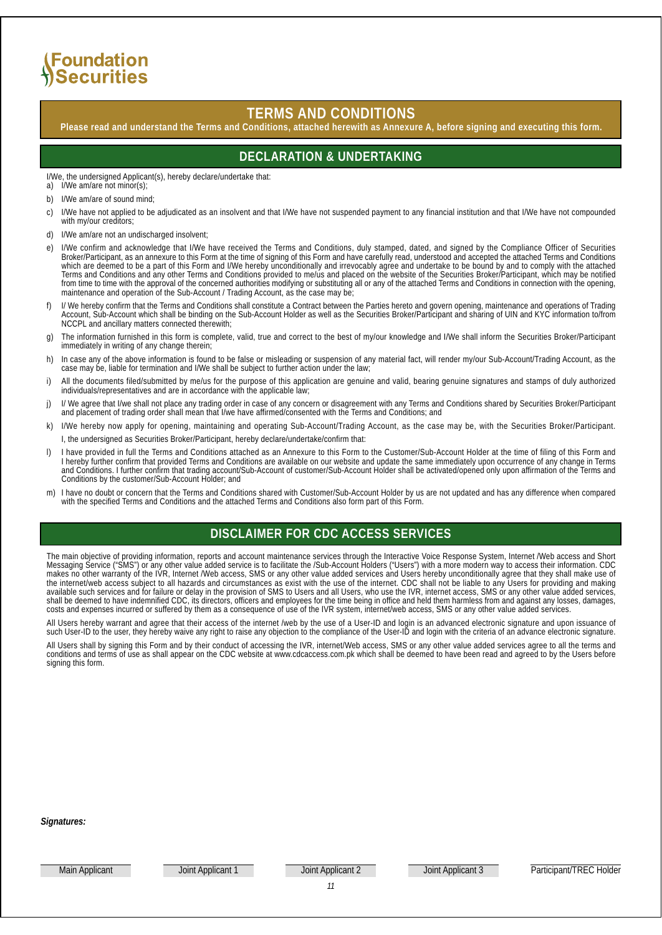## **SFoundation** Securities

### **TERMS AND CONDITIONS**

**Please read and understand the Terms and Conditions, attached herewith as Annexure A, before signing and executing this form.**

### **DECLARATION & UNDERTAKING**

I/We, the undersigned Applicant(s), hereby declare/undertake that:

a) I/We am/are not minor(s);

- b) I/We am/are of sound mind;
- c) I/We have not applied to be adjudicated as an insolvent and that I/We have not suspended payment to any financial institution and that I/We have not compounded with my/our creditors;
- d) I/We am/are not an undischarged insolvent;
- e) I/We confirm and acknowledge that I/We have received the Terms and Conditions, duly stamped, dated, and signed by the Compliance Officer of Securities Broker/Participant, as an annexure to this Form at the time of signing of this Form and have carefully read, understood and accepted the attached Terms and Conditions which are deemed to be a part of this Form and I/We hereby unconditionally and irrevocably agree and undertake to be bound by and to comply with the attached Terms and Conditions and any other Terms and Conditions provided to me/us and placed on the website of the Securities Broker/Participant, which may be notified from time to time with the approval of the concerned authorities modifying or substituting all or any of the attached Terms and Conditions in connection with the opening, maintenance and operation of the Sub-Account / Trading Account, as the case may be;
- f) I/ We hereby confirm that the Terms and Conditions shall constitute a Contract between the Parties hereto and govern opening, maintenance and operations of Trading Account, Sub-Account which shall be binding on the Sub-Account Holder as well as the Securities Broker/Participant and sharing of UIN and KYC information to/from NCCPL and ancillary matters connected therewith;
- g) The information furnished in this form is complete, valid, true and correct to the best of my/our knowledge and I/We shall inform the Securities Broker/Participant immediately in writing of any change therein;
- h) In case any of the above information is found to be false or misleading or suspension of any material fact, will render my/our Sub-Account/Trading Account, as the case may be, liable for termination and I/We shall be subject to further action under the law;
- i) All the documents filed/submitted by me/us for the purpose of this application are genuine and valid, bearing genuine signatures and stamps of duly authorized individuals/representatives and are in accordance with the applicable law;
- j) I/ We agree that I/we shall not place any trading order in case of any concern or disagreement with any Terms and Conditions shared by Securities Broker/Participant and placement of trading order shall mean that I/we have affirmed/consented with the Terms and Conditions; and
- k) I/We hereby now apply for opening, maintaining and operating Sub-Account/Trading Account, as the case may be, with the Securities Broker/Participant. I, the undersigned as Securities Broker/Participant, hereby declare/undertake/confirm that:
- l) I have provided in full the Terms and Conditions attached as an Annexure to this Form to the Customer/Sub-Account Holder at the time of filing of this Form and I hereby further confirm that provided Terms and Conditions are available on our website and update the same immediately upon occurrence of any change in Terms and Conditions. I further confirm that trading account/Sub-Account of customer/Sub-Account Holder shall be activated/opened only upon affirmation of the Terms and Conditions by the customer/Sub-Account Holder; and
- m) I have no doubt or concern that the Terms and Conditions shared with Customer/Sub-Account Holder by us are not updated and has any difference when compared with the specified Terms and Conditions and the attached Terms and Conditions also form part of this Form.

### **DISCLAIMER FOR CDC ACCESS SERVICES**

The main objective of providing information, reports and account maintenance services through the Interactive Voice Response System, Internet /Web access and Short Messaging Service ("SMS") or any other value added service is to facilitate the /Sub-Account Holders ("Users") with a more modern way to access their information. CDC makes no other warranty of the IVR, Internet /Web access, SMS or any other value added services and Users hereby unconditionally agree that they shall make use of the internet/web access subject to all hazards and circumstances as exist with the use of the internet. CDC shall not be liable to any Users for providing and making available such services and for failure or delay in the provision of SMS to Users and all Users, who use the IVR, internet access, SMS or any other value added services, shall be deemed to have indemnified CDC, its directors, officers and employees for the time being in office and held them harmless from and against any losses, damages, costs and expenses incurred or suffered by them as a consequence of use of the IVR system, internet/web access, SMS or any other value added services.

All Users hereby warrant and agree that their access of the internet /web by the use of a User-ID and login is an advanced electronic signature and upon issuance of such User-ID to the user, they hereby waive any right to raise any objection to the compliance of the User-ID and login with the criteria of an advance electronic signature.

All Users shall by signing this Form and by their conduct of accessing the IVR, internet/Web access, SMS or any other value added services agree to all the terms and conditions and terms of use as shall appear on the CDC website at www.cdcaccess.com.pk which shall be deemed to have been read and agreed to by the Users before signing this form.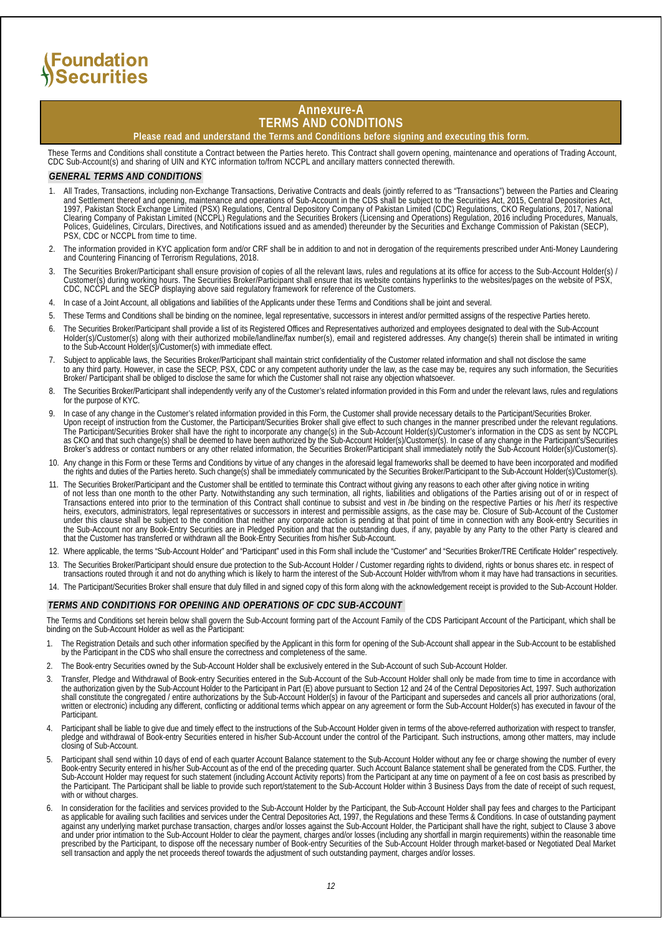#### **Annexure-A TERMS AND CONDITIONS**

**Please read and understand the Terms and Conditions before signing and executing this form.**

These Terms and Conditions shall constitute a Contract between the Parties hereto. This Contract shall govern opening, maintenance and operations of Trading Account, CDC Sub-Account(s) and sharing of UIN and KYC information to/from NCCPL and ancillary matters connected therewith.

#### *GENERAL TERMS AND CONDITIONS*

- 1. All Trades, Transactions, including non-Exchange Transactions, Derivative Contracts and deals (jointly referred to as "Transactions") between the Parties and Clearing and Settlement thereof and opening, maintenance and operations of Sub-Account in the CDS shall be subject to the Securities Act, 2015, Central Depositories Act, 1997, Pakistan Stock Exchange Limited (PSX) Regulations, Central Depository Company of Pakistan Limited (CDC) Regulations, CKO Regulations, 2017, National Clearing Company of Pakistan Limited (NCCPL) Regulations and the Securities Brokers (Licensing and Operations) Regulation, 2016 including Procedures, Manuals, Polices, Guidelines, Circulars, Directives, and Notifications issued and as amended) thereunder by the Securities and Exchange Commission of Pakistan (SECP), PSX, CDC or NCCPL from time to time.
- 2. The information provided in KYC application form and/or CRF shall be in addition to and not in derogation of the requirements prescribed under Anti-Money Laundering and Countering Financing of Terrorism Regulations, 2018.
- The Securities Broker/Participant shall ensure provision of copies of all the relevant laws, rules and regulations at its office for access to the Sub-Account Holder(s) / Customer(s) during working hours. The Securities Broker/Participant shall ensure that its website contains hyperlinks to the websites/pages on the website of PSX, CDC, NCCPL and the SECP displaying above said regulatory framework for reference of the Customers.
- 4. In case of a Joint Account, all obligations and liabilities of the Applicants under these Terms and Conditions shall be joint and several.
- 5. These Terms and Conditions shall be binding on the nominee, legal representative, successors in interest and/or permitted assigns of the respective Parties hereto.
- 6. The Securities Broker/Participant shall provide a list of its Registered Offices and Representatives authorized and employees designated to deal with the Sub-Account Holder(s)/Customer(s) along with their authorized mobile/landline/fax number(s), email and registered addresses. Any change(s) therein shall be intimated in writing to the Sub-Account Holder(s)/Customer(s) with immediate effect.
- 7. Subject to applicable laws, the Securities Broker/Participant shall maintain strict confidentiality of the Customer related information and shall not disclose the same to any third party. However, in case the SECP, PSX, CDC or any competent authority under the law, as the case may be, requires any such information, the Securities Broker/ Participant shall be obliged to disclose the same for which the Customer shall not raise any objection whatsoever.
- 8. The Securities Broker/Participant shall independently verify any of the Customer's related information provided in this Form and under the relevant laws, rules and regulations for the purpose of KYC.
- 9. In case of any change in the Customer's related information provided in this Form, the Customer shall provide necessary details to the Participant/Securities Broker. Upon receipt of instruction from the Customer, the Participant/Securities Broker shall give effect to such changes in the manner prescribed under the relevant regulations. The Participant/Securities Broker shall have the right to incorporate any change(s) in the Sub-Account Holder(s)/Customer's information in the CDS as sent by NCCPL as CKO and that such change(s) shall be deemed to have been authorized by the Sub-Account Holder(s)/Customer(s). In case of any change in the Participant's/Securities Broker's address or contact numbers or any other related information, the Securities Broker/Participant shall immediately notify the Sub-Account Holder(s)/Customer(s).
- 10. Any change in this Form or these Terms and Conditions by virtue of any changes in the aforesaid legal frameworks shall be deemed to have been incorporated and modified the rights and duties of the Parties hereto. Such change(s) shall be immediately communicated by the Securities Broker/Participant to the Sub-Account Holder(s)/Customer(s).
- 11. The Securities Broker/Participant and the Customer shall be entitled to terminate this Contract without giving any reasons to each other after giving notice in writing of not less than one month to the other Party. Notwithstanding any such termination, all rights, liabilities and obligations of the Parties arising out of or in respect of Transactions entered into prior to the termination of this Contract shall continue to subsist and vest in /be binding on the respective Parties or his /her/ its respective heirs, executors, administrators, legal representatives or successors in interest and permissible assigns, as the case may be. Closure of Sub-Account of the Customer under this clause shall be subject to the condition that neither any corporate action is pending at that point of time in connection with any Book-entry Securities in the Sub-Account nor any Book-Entry Securities are in Pledged Position and that the outstanding dues, if any, payable by any Party to the other Party is cleared and that the Customer has transferred or withdrawn all the Book-Entry Securities from his/her Sub-Account.
- 12. Where applicable, the terms "Sub-Account Holder" and "Participant" used in this Form shall include the "Customer" and "Securities Broker/TRE Certificate Holder" respectively.
- 13. The Securities Broker/Participant should ensure due protection to the Sub-Account Holder / Customer regarding rights to dividend, rights or bonus shares etc. in respect of transactions routed through it and not do anything which is likely to harm the interest of the Sub-Account Holder with/from whom it may have had transactions in securities.
- 14. The Participant/Securities Broker shall ensure that duly filled in and signed copy of this form along with the acknowledgement receipt is provided to the Sub-Account Holder.

#### *TERMS AND CONDITIONS FOR OPENING AND OPERATIONS OF CDC SUB-ACCOUNT*

The Terms and Conditions set herein below shall govern the Sub-Account forming part of the Account Family of the CDS Participant Account of the Participant, which shall be binding on the Sub-Account Holder as well as the Participant:

- The Registration Details and such other information specified by the Applicant in this form for opening of the Sub-Account shall appear in the Sub-Account to be established by the Participant in the CDS who shall ensure the correctness and completeness of the same.
- 2. The Book-entry Securities owned by the Sub-Account Holder shall be exclusively entered in the Sub-Account of such Sub-Account Holder.
- 3. Transfer, Pledge and Withdrawal of Book-entry Securities entered in the Sub-Account of the Sub-Account Holder shall only be made from time to time in accordance with the authorization given by the Sub-Account Holder to the Participant in Part (E) above pursuant to Section 12 and 24 of the Central Depositories Act, 1997. Such authorization shall constitute the congregated / entire authorizations by the Sub-Account Holder(s) in favour of the Participant and supersedes and cancels all prior authorizations (oral, written or electronic) including any different, conflicting or additional terms which appear on any agreement or form the Sub-Account Holder(s) has executed in favour of the Participant.
- 4. Participant shall be liable to give due and timely effect to the instructions of the Sub-Account Holder given in terms of the above-referred authorization with respect to transfer, pledge and withdrawal of Book-entry Securities entered in his/her Sub-Account under the control of the Participant. Such instructions, among other matters, may include closing of Sub-Account.
- Participant shall send within 10 days of end of each quarter Account Balance statement to the Sub-Account Holder without any fee or charge showing the number of every Book-entry Security entered in his/her Sub-Account as of the end of the preceding quarter. Such Account Balance statement shall be generated from the CDS. Further, the Sub-Account Holder may request for such statement (including Account Activity reports) from the Participant at any time on payment of a fee on cost basis as prescribed by the Participant. The Participant shall be liable to provide such report/statement to the Sub-Account Holder within 3 Business Days from the date of receipt of such request, with or without charges
- 6. In consideration for the facilities and services provided to the Sub-Account Holder by the Participant, the Sub-Account Holder shall pay fees and charges to the Participant as applicable for availing such facilities and services under the Central Depositories Act, 1997, the Regulations and these Terms & Conditions. In case of outstanding payment against any underlying market purchase transaction, charges and/or losses against the Sub-Account Holder, the Participant shall have the right, subject to Clause 3 above and under prior intimation to the Sub-Account Holder to clear the payment, charges and/or losses (including any shortfall in margin requirements) within the reasonable time prescribed by the Participant, to dispose off the necessary number of Book-entry Securities of the Sub-Account Holder through market-based or Negotiated Deal Market sell transaction and apply the net proceeds thereof towards the adjustment of such outstanding payment, charges and/or losses.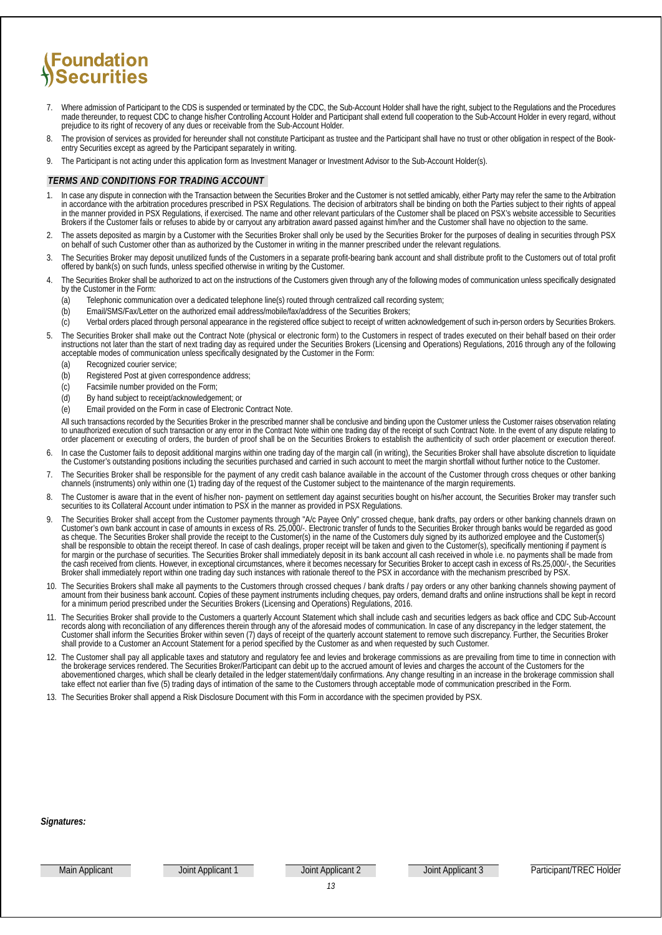- 7. Where admission of Participant to the CDS is suspended or terminated by the CDC, the Sub-Account Holder shall have the right, subject to the Regulations and the Procedures made thereunder, to request CDC to change his/her Controlling Account Holder and Participant shall extend full cooperation to the Sub-Account Holder in every regard, without prejudice to its right of recovery of any dues or receivable from the Sub-Account Holder.
- 8. The provision of services as provided for hereunder shall not constitute Participant as trustee and the Participant shall have no trust or other obligation in respect of the Bookentry Securities except as agreed by the Participant separately in writing.
- 9. The Participant is not acting under this application form as Investment Manager or Investment Advisor to the Sub-Account Holder(s).

#### *TERMS AND CONDITIONS FOR TRADING ACCOUNT*

- In case any dispute in connection with the Transaction between the Securities Broker and the Customer is not settled amicably, either Party may refer the same to the Arbitration in accordance with the arbitration procedures prescribed in PSX Regulations. The decision of arbitrators shall be binding on both the Parties subject to their rights of appeal in the manner provided in PSX Regulations, if exercised. The name and other relevant particulars of the Customer shall be placed on PSX's website accessible to Securities Brokers if the Customer fails or refuses to abide by or carryout any arbitration award passed against him/her and the Customer shall have no objection to the same.
- 2. The assets deposited as margin by a Customer with the Securities Broker shall only be used by the Securities Broker for the purposes of dealing in securities through PSX on behalf of such Customer other than as authorized by the Customer in writing in the manner prescribed under the relevant regulations.
- 3. The Securities Broker may deposit unutilized funds of the Customers in a separate profit-bearing bank account and shall distribute profit to the Customers out of total profit offered by bank(s) on such funds, unless specified otherwise in writing by the Customer.
- The Securities Broker shall be authorized to act on the instructions of the Customers given through any of the following modes of communication unless specifically designated by the Customer in the Form:
	- (a) Telephonic communication over a dedicated telephone line(s) routed through centralized call recording system;
	- (b) Email/SMS/Fax/Letter on the authorized email address/mobile/fax/address of the Securities Brokers;
	- (c) Verbal orders placed through personal appearance in the registered office subject to receipt of written acknowledgement of such in-person orders by Securities Brokers.
- 5. The Securities Broker shall make out the Contract Note (physical or electronic form) to the Customers in respect of trades executed on their behalf based on their order instructions not later than the start of next trading day as required under the Securities Brokers (Licensing and Operations) Regulations, 2016 through any of the following acceptable modes of communication unless specifically designated by the Customer in the Form:
	- (a) Recognized courier service;
	- (b) Registered Post at given correspondence address;
	- (c) Facsimile number provided on the Form;
	- (d) By hand subject to receipt/acknowledgement; or
	- (e) Email provided on the Form in case of Electronic Contract Note.

All such transactions recorded by the Securities Broker in the prescribed manner shall be conclusive and binding upon the Customer unless the Customer raises observation relating to<br>to unauthorized execution of such transa order placement or executing of orders, the burden of proof shall be on the Securities Brokers to establish the authenticity of such order placement or execution thereof.

- 6. In case the Customer fails to deposit additional margins within one trading day of the margin call (in writing), the Securities Broker shall have absolute discretion to liquidate the Customer's outstanding positions including the securities purchased and carried in such account to meet the margin shortfall without further notice to the Customer.
- 7. The Securities Broker shall be responsible for the payment of any credit cash balance available in the account of the Customer through cross cheques or other banking channels (instruments) only within one (1) trading day of the request of the Customer subject to the maintenance of the margin requirements.
- 8. The Customer is aware that in the event of his/her non- payment on settlement day against securities bought on his/her account, the Securities Broker may transfer such securities to its Collateral Account under intimation to PSX in the manner as provided in PSX Regulations.
- 9. The Securities Broker shall accept from the Customer payments through "A/c Payee Only" crossed cheque, bank drafts, pay orders or other banking channels drawn on Customer's own bank account in case of amounts in excess of Rs. 25,000/-. Electronic transfer of funds to the Securities Broker through banks would be regarded as good as cheque. The Securities Broker shall provide the receipt to the Customer(s) in the name of the Customers duly signed by its authorized employee and the Customer(s) shall be responsible to obtain the receipt thereof. In case of cash dealings, proper receipt will be taken and given to the Customer(s), specifically mentioning if payment is for margin or the purchase of securities. The Securities Broker shall immediately deposit in its bank account all cash received in whole i.e. no payments shall be made from the cash received from clients. However, in exceptional circumstances, where it becomes necessary for Securities Broker to accept cash in excess of Rs.25,000/-, the Securities Broker shall immediately report within one trading day such instances with rationale thereof to the PSX in accordance with the mechanism prescribed by PSX.
- 10. The Securities Brokers shall make all payments to the Customers through crossed cheques / bank drafts / pay orders or any other banking channels showing payment of amount from their business bank account. Copies of these payment instruments including cheques, pay orders, demand drafts and online instructions shall be kept in record for a minimum period prescribed under the Securities Brokers (Licensing and Operations) Regulations, 2016.
- 11. The Securities Broker shall provide to the Customers a quarterly Account Statement which shall include cash and securities ledgers as back office and CDC Sub-Account records along with reconciliation of any differences therein through any of the aforesaid modes of communication. In case of any discrepancy in the ledger statement, the Customer shall inform the Securities Broker within seven (7) days of receipt of the quarterly account statement to remove such discrepancy. Further, the Securities Broker shall provide to a Customer an Account Statement for a period specified by the Customer as and when requested by such Customer.
- 12. The Customer shall pay all applicable taxes and statutory and regulatory fee and levies and brokerage commissions as are prevailing from time to time in connection with the brokerage services rendered. The Securities Broker/Participant can debit up to the accrued amount of levies and charges the account of the Customers for the abovementioned charges, which shall be clearly detailed in the ledger statement/daily confirmations. Any change resulting in an increase in the brokerage commission shall take effect not earlier than five (5) trading days of intimation of the same to the Customers through acceptable mode of communication prescribed in the Form.
- 13. The Securities Broker shall append a Risk Disclosure Document with this Form in accordance with the specimen provided by PSX.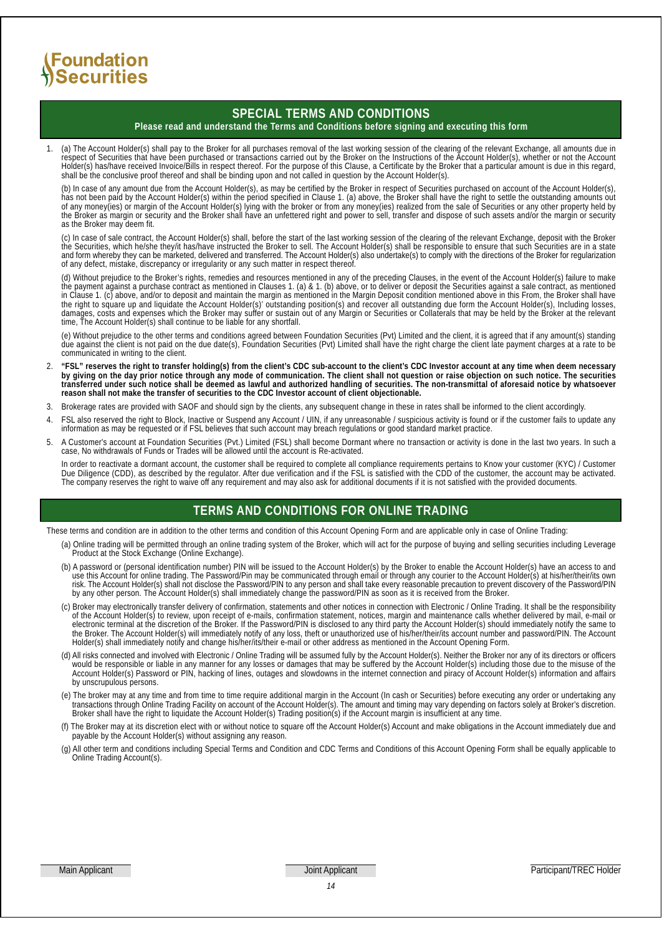## Foundation *ASecurities*

### **SPECIAL TERMS AND CONDITIONS**

#### **Please read and understand the Terms and Conditions before signing and executing this form**

1. (a) The Account Holder(s) shall pay to the Broker for all purchases removal of the last working session of the clearing of the relevant Exchange, all amounts due in respect of Securities that have been purchased or transactions carried out by the Broker on the Instructions of the Account Holder(s), whether or not the Account Holder(s) has/have received Invoice/Bills in respect thereof. For the purpose of this Clause, a Certificate by the Broker that a particular amount is due in this regard, shall be the conclusive proof thereof and shall be binding upon and not called in question by the Account Holder(s).

(b) In case of any amount due from the Account Holder(s), as may be certified by the Broker in respect of Securities purchased on account of the Account Holder(s), has not been paid by the Account Holder(s) within the period specified in Clause 1. (a) above, the Broker shall have the right to settle the outstanding amounts out of any money(ies) or margin of the Account Holder(s) lying with the broker or from any money(ies) realized from the sale of Securities or any other property held by the Broker as margin or security and the Broker shall have an unfettered right and power to sell, transfer and dispose of such assets and/or the margin or security as the Broker may deem fit.

(c) In case of sale contract, the Account Holder(s) shall, before the start of the last working session of the clearing of the relevant Exchange, deposit with the Broker the Securities, which he/she they/it has/have instructed the Broker to sell. The Account Holder(s) shall be responsible to ensure that such Securities are in a state and form whereby they can be marketed, delivered and transferred. The Account Holder(s) also undertake(s) to comply with the directions of the Broker for regularization of any defect, mistake, discrepancy or irregularity or any such matter in respect thereof.

(d) Without prejudice to the Broker's rights, remedies and resources mentioned in any of the preceding Clauses, in the event of the Account Holder(s) failure to make the payment against a purchase contract as mentioned in Clauses 1. (a) & 1. (b) above, or to deliver or deposit the Securities against a sale contract, as mentioned in Clause 1. (c) above, and/or to deposit and maintain the margin as mentioned in the Margin Deposit condition mentioned above in this From, the Broker shall have the right to square up and liquidate the Account Holder(s)' outstanding position(s) and recover all outstanding due form the Account Holder(s), Including losses, damages, costs and expenses which the Broker may suffer or sustain out of any Margin or Securities or Collaterals that may be held by the Broker at the relevant time, The Account Holder(s) shall continue to be liable for any shortfall.

(e) Without prejudice to the other terms and conditions agreed between Foundation Securities (Pvt) Limited and the client, it is agreed that if any amount(s) standing due against the client is not paid on the due date(s), Foundation Securities (Pvt) Limited shall have the right charge the client late payment charges at a rate to be communicated in writing to the client.

- ESL" reserves the right to transfer holding(s) from the client's CDC sub-account to the client's CDC Investor account at any time when deem necessary by giving on the day prior notice through any mode of communication. The **transferred under such notice shall be deemed as lawful and authorized handling of securities. The non-transmittal of aforesaid notice by whatsoever reason shall not make the transfer of securities to the CDC Investor account of client objectionable.**
- 3. Brokerage rates are provided with SAOF and should sign by the clients, any subsequent change in these in rates shall be informed to the client accordingly.
- FSL also reserved the right to Block, Inactive or Suspend any Account / UIN, if any unreasonable / suspicious activity is found or if the customer fails to update any information as may be requested or if FSL believes that such account may breach regulations or good standard market practice.
- 5. A Customer's account at Foundation Securities (Pvt.) Limited (FSL) shall become Dormant where no transaction or activity is done in the last two years. In such a case, No withdrawals of Funds or Trades will be allowed until the account is Re-activated.

In order to reactivate a dormant account, the customer shall be required to complete all compliance requirements pertains to Know your customer (KYC) / Customer Due Diligence (CDD), as described by the regulator. After due verification and if the FSL is satisfied with the CDD of the customer, the account may be activated. The company reserves the right to waive off any requirement and may also ask for additional documents if it is not satisfied with the provided documents.

### **TERMS AND CONDITIONS FOR ONLINE TRADING**

These terms and condition are in addition to the other terms and condition of this Account Opening Form and are applicable only in case of Online Trading:

- (a) Online trading will be permitted through an online trading system of the Broker, which will act for the purpose of buying and selling securities including Leverage Product at the Stock Exchange (Online Exchange).
- (b) A password or (personal identification number) PIN will be issued to the Account Holder(s) by the Broker to enable the Account Holder(s) have an access to and use this Account for online trading. The Password/Pin may be communicated through email or through any courier to the Account Holder(s) at his/her/their/its own risk. The Account Holder(s) shall not disclose the Password/PIN to any person and shall take every reasonable precaution to prevent discovery of the Password/PIN by any other person. The Account Holder(s) shall immediately change the password/PIN as soon as it is received from the Broker.
- (c) Broker may electronically transfer delivery of confirmation, statements and other notices in connection with Electronic / Online Trading. It shall be the responsibility of the Account Holder(s) to review, upon receipt of e-mails, confirmation statement, notices, margin and maintenance calls whether delivered by mail, e-mail or electronic terminal at the discretion of the Broker. If the Password/PIN is disclosed to any third party the Account Holder(s) should immediately notify the same to the Broker. The Account Holder(s) will immediately notify of any loss, theft or unauthorized use of his/her/their/its account number and password/PIN. The Account Holder(s) shall immediately notify and change his/her/its/their e-mail or other address as mentioned in the Account Opening Form.
- (d) All risks connected and involved with Electronic / Online Trading will be assumed fully by the Account Holder(s). Neither the Broker nor any of its directors or officers would be responsible or liable in any manner for any losses or damages that may be suffered by the Account Holder(s) including those due to the misuse of the Account Holder(s) Password or PIN, hacking of lines, outages and slowdowns in the internet connection and piracy of Account Holder(s) information and affairs by unscrupulous persons.
- (e) The broker may at any time and from time to time require additional margin in the Account (In cash or Securities) before executing any order or undertaking any transactions through Online Trading Facility on account of the Account Holder(s). The amount and timing may vary depending on factors solely at Broker's discretion. Broker shall have the right to liquidate the Account Holder(s) Trading position(s) if the Account margin is insufficient at any time.
- (f) The Broker may at its discretion elect with or without notice to square off the Account Holder(s) Account and make obligations in the Account immediately due and payable by the Account Holder(s) without assigning any reason.
- (g) All other term and conditions including Special Terms and Condition and CDC Terms and Conditions of this Account Opening Form shall be equally applicable to Online Trading Account(s).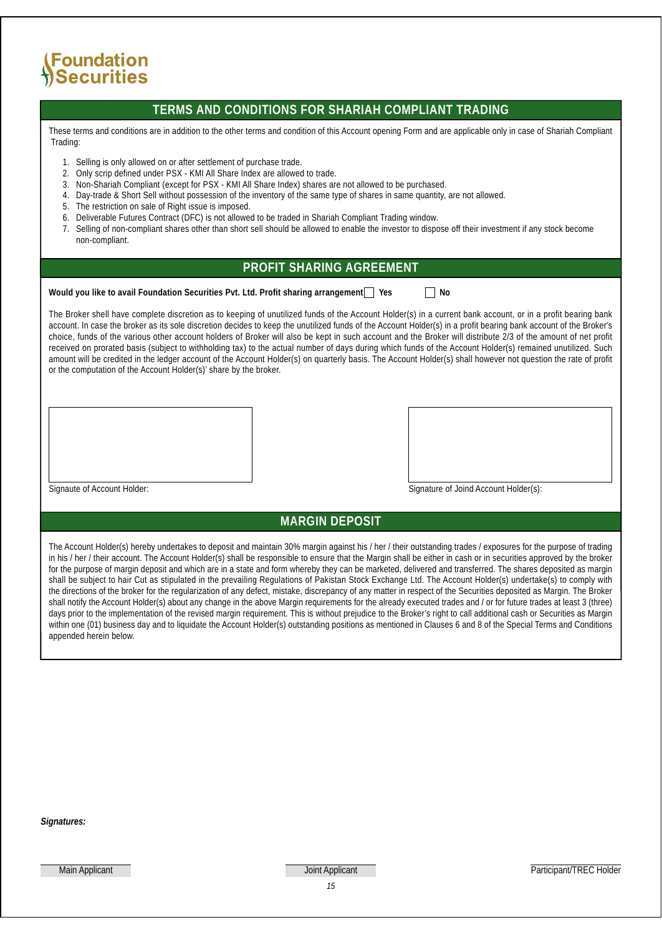## Foundation . <del>canadiren</del><br>|Securities

### **TERMS AND CONDITIONS FOR SHARIAH COMPLIANT TRADING**

These terms and conditions are in addition to the other terms and condition of this Account opening Form and are applicable only in case of Shariah Compliant Trading:

- 1. Selling is only allowed on or after settlement of purchase trade.
- 2. Only scrip defined under PSX KMI All Share Index are allowed to trade.
- 3. Non-Shariah Compliant (except for PSX KMI All Share Index) shares are not allowed to be purchased.
- 4. Day-trade & Short Sell without possession of the inventory of the same type of shares in same quantity, are not allowed.
- 5. The restriction on sale of Right issue is imposed.
- 6. Deliverable Futures Contract (DFC) is not allowed to be traded in Shariah Compliant Trading window.
- 7. Selling of non-compliant shares other than short sell should be allowed to enable the investor to dispose off their investment if any stock become non-compliant.

### **PROFIT SHARING AGREEMENT**

**Would you like to avail Foundation Securities Pvt. Ltd. Profit sharing arrangement**  $\Box$  **Yes**  $\Box$  **No** 

The Broker shell have complete discretion as to keeping of unutilized funds of the Account Holder(s) in a current bank account, or in a profit bearing bank account. In case the broker as its sole discretion decides to keep the unutilized funds of the Account Holder(s) in a profit bearing bank account of the Broker's choice, funds of the various other account holders of Broker will also be kept in such account and the Broker will distribute 2/3 of the amount of net profit received on prorated basis (subject to withholding tax) to the actual number of days during which funds of the Account Holder(s) remained unutilized. Such amount will be credited in the ledger account of the Account Holder(s) on quarterly basis. The Account Holder(s) shall however not question the rate of profit or the computation of the Account Holder(s)' share by the broker.

Signaute of Account Holder: Signature of Joind Account Holder(s):

### **MARGIN DEPOSIT**

The Account Holder(s) hereby undertakes to deposit and maintain 30% margin against his / her / their outstanding trades / exposures for the purpose of trading in his / her / their account. The Account Holder(s) shall be responsible to ensure that the Margin shall be either in cash or in securities approved by the broker for the purpose of margin deposit and which are in a state and form whereby they can be marketed, delivered and transferred. The shares deposited as margin shall be subject to hair Cut as stipulated in the prevailing Regulations of Pakistan Stock Exchange Ltd. The Account Holder(s) undertake(s) to comply with the directions of the broker for the regularization of any defect, mistake, discrepancy of any matter in respect of the Securities deposited as Margin. The Broker shall notify the Account Holder(s) about any change in the above Margin requirements for the already executed trades and / or for future trades at least 3 (three) days prior to the implementation of the revised margin requirement. This is without prejudice to the Broker's right to call additional cash or Securities as Margin within one (01) business day and to liquidate the Account Holder(s) outstanding positions as mentioned in Clauses 6 and 8 of the Special Terms and Conditions appended herein below.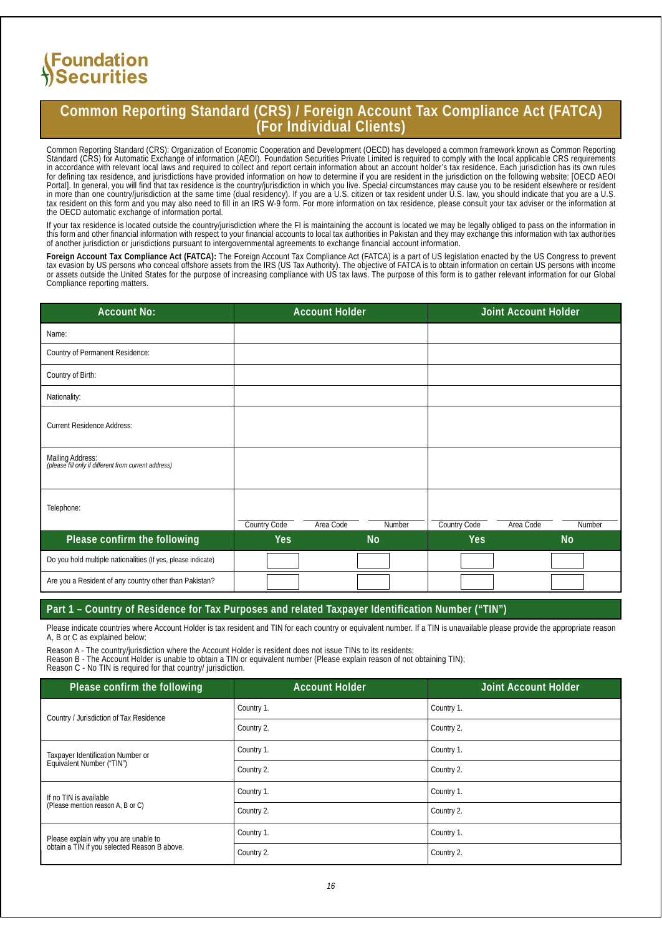## **Common Reporting Standard (CRS) / Foreign Account Tax Compliance Act (FATCA) (For Individual Clients)**

Common Reporting Standard (CRS): Organization of Economic Cooperation and Development (OECD) has developed a common framework known as Common Reporting Standard (CRS) for Automatic Exchange of information (AEOI). Foundation Securities Private Limited is required to comply with the local applicable CRS requirements in accordance with relevant local laws and required to collect and report certain information about an account holder's tax residence. Each jurisdiction has its own rules for defining tax residence, and jurisdictions have provided information on how to determine if you are resident in the jurisdiction on the following website: [OECD AEOI Portal]. In general, you will find that tax residence is the country/jurisdiction in which you live. Special circumstances may cause you to be resident elsewhere or resident in more than one country/jurisdiction at the same time (dual residency). If you are a U.S. citizen or tax resident under U.S. law, you should indicate that you are a U.S. tax resident on this form and you may also need to fill in an IRS W-9 form. For more information on tax residence, please consult your tax adviser or the information at the OECD automatic exchange of information portal.

If your tax residence is located outside the country/jurisdiction where the FI is maintaining the account is located we may be legally obliged to pass on the information in this form and other financial information with respect to your financial accounts to local tax authorities in Pakistan and they may exchange this information with tax authorities of another jurisdiction or jurisdictions pursuant to intergovernmental agreements to exchange financial account information.

**Foreign Account Tax Compliance Act (FATCA):** The Foreign Account Tax Compliance Act (FATCA) is a part of US legislation enacted by the US Congress to prevent tax evasion by US persons who conceal offshore assets from the IRS (US Tax Authority). The objective of FATCA is to obtain information on certain US persons with income or assets outside the United States for the purpose of increasing compliance with US tax laws. The purpose of this form is to gather relevant information for our Global Compliance reporting matters.

| <b>Account No:</b>                                                       |                     | <b>Account Holder</b> |                |                     | Joint Account Holder |                |
|--------------------------------------------------------------------------|---------------------|-----------------------|----------------|---------------------|----------------------|----------------|
| Name:                                                                    |                     |                       |                |                     |                      |                |
| <b>Country of Permanent Residence:</b>                                   |                     |                       |                |                     |                      |                |
| Country of Birth:                                                        |                     |                       |                |                     |                      |                |
| Nationality:                                                             |                     |                       |                |                     |                      |                |
| <b>Current Residence Address:</b>                                        |                     |                       |                |                     |                      |                |
| Mailing Address:<br>(please fill only if different from current address) |                     |                       |                |                     |                      |                |
| Telephone:                                                               | <b>Country Code</b> | Area Code             | Number         | <b>Country Code</b> | Area Code            | Number         |
| Please confirm the following                                             | Yes                 |                       | N <sub>o</sub> | <b>Yes</b>          |                      | N <sub>o</sub> |
| Do you hold multiple nationalities (If yes, please indicate)             |                     |                       |                |                     |                      |                |
| Are you a Resident of any country other than Pakistan?                   |                     |                       |                |                     |                      |                |

#### **Part 1 – Country of Residence for Tax Purposes and related Taxpayer Identification Number ("TIN")**

Please indicate countries where Account Holder is tax resident and TIN for each country or equivalent number. If a TIN is unavailable please provide the appropriate reason A, B or C as explained below:

Reason A - The country/jurisdiction where the Account Holder is resident does not issue TINs to its residents;

Reason B - The Account Holder is unable to obtain a TIN or equivalent number (Please explain reason of not obtaining TIN);

Reason C - No TIN is required for that country/ jurisdiction.

| Please confirm the following                                                         | <b>Account Holder</b> | <b>Joint Account Holder</b> |
|--------------------------------------------------------------------------------------|-----------------------|-----------------------------|
| Country / Jurisdiction of Tax Residence                                              | Country 1.            | Country 1.                  |
|                                                                                      | Country 2.            | Country 2.                  |
| <b>Taxpayer Identification Number or</b>                                             | Country 1.            | Country 1.                  |
| Equivalent Number ("TIN")                                                            | Country 2.            | Country 2.                  |
| If no TIN is available                                                               | Country 1.            | Country 1.                  |
| (Please mention reason A, B or C)                                                    | Country 2.            | Country 2.                  |
| Please explain why you are unable to<br>obtain a TIN if you selected Reason B above. | Country 1.            | Country 1.                  |
|                                                                                      | Country 2.            | Country 2.                  |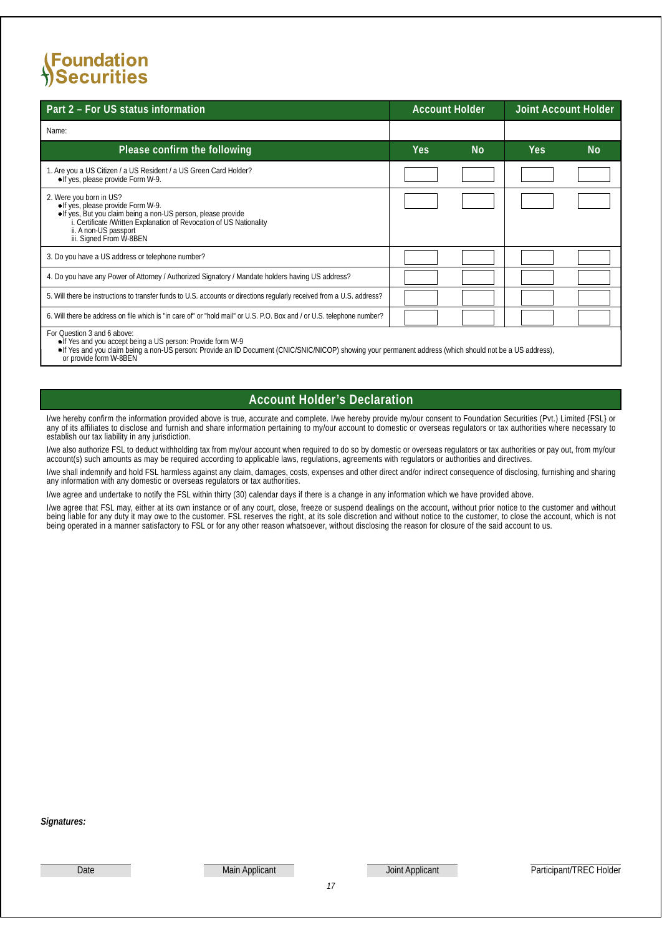| Part 2 - For US status information                                                                                                                                                                                                                                                       | <b>Account Holder</b> |    | <b>Joint Account Holder</b> |                |
|------------------------------------------------------------------------------------------------------------------------------------------------------------------------------------------------------------------------------------------------------------------------------------------|-----------------------|----|-----------------------------|----------------|
| Name:                                                                                                                                                                                                                                                                                    |                       |    |                             |                |
| Please confirm the following                                                                                                                                                                                                                                                             | Yes                   | No | <b>Yes</b>                  | N <sub>o</sub> |
| 1. Are you a US Citizen / a US Resident / a US Green Card Holder?<br>• If yes, please provide Form W-9.                                                                                                                                                                                  |                       |    |                             |                |
| 2. Were you born in US?<br>The set provide Form W-9.<br>• If yes, please provide Form W-9.<br>• If yes, But you claim being a non-US person, please provide<br>• i. Certificate /Written Explanation of Revocation of US Nationality<br>ii. A non-US passport<br>iii. Signed From W-8BEN |                       |    |                             |                |
| 3. Do you have a US address or telephone number?                                                                                                                                                                                                                                         |                       |    |                             |                |
| 4. Do you have any Power of Attomey / Authorized Signatory / Mandate holders having US address?                                                                                                                                                                                          |                       |    |                             |                |
| 5. Will there be instructions to transfer funds to U.S. accounts or directions regularly received from a U.S. address?                                                                                                                                                                   |                       |    |                             |                |
| 6. Will there be address on file which is "in care of" or "hold mail" or U.S. P.O. Box and / or U.S. telephone number?                                                                                                                                                                   |                       |    |                             |                |
| For Question 3 and 6 above:<br>• If Yes and you accept being a US person: Provide form W-9                                                                                                                                                                                               |                       |    |                             |                |

If Yes and you accept being a US person: Provide form W-9<br>If Yes and you claim being a non-US person: Provide an ID Document (CNIC/SNIC/NICOP) showing your permanent address (which should not be a US address),<br>or provide f

### **Account Holder's Declaration**

I/we hereby confirm the information provided above is true, accurate and complete. I/we hereby provide my/our consent to Foundation Securities (Pvt.) Limited {FSL} or any of its affiliates to disclose and furnish and share information pertaining to my/our account to domestic or overseas regulators or tax authorities where necessary to establish our tax liability in any jurisdiction.

I/we also authorize FSL to deduct withholding tax from my/our account when required to do so by domestic or overseas regulators or tax authorities or pay out, from my/our account(s) such amounts as may be required according to applicable laws, regulations, agreements with regulators or authorities and directives.

I/we shall indemnify and hold FSL harmless against any claim, damages, costs, expenses and other direct and/or indirect consequence of disclosing, furnishing and sharing any information with any domestic or overseas regulators or tax authorities.

I/we agree and undertake to notify the FSL within thirty (30) calendar days if there is a change in any information which we have provided above.

I/we agree that FSL may, either at its own instance or of any court, close, freeze or suspend dealings on the account, without prior notice to the customer and without being liable for any duty it may owe to the customer. FSL reserves the right, at its sole discretion and without notice to the customer, to close the account, which is not being operated in a manner satisfactory to FSL or for any other reason whatsoever, without disclosing the reason for closure of the said account to us.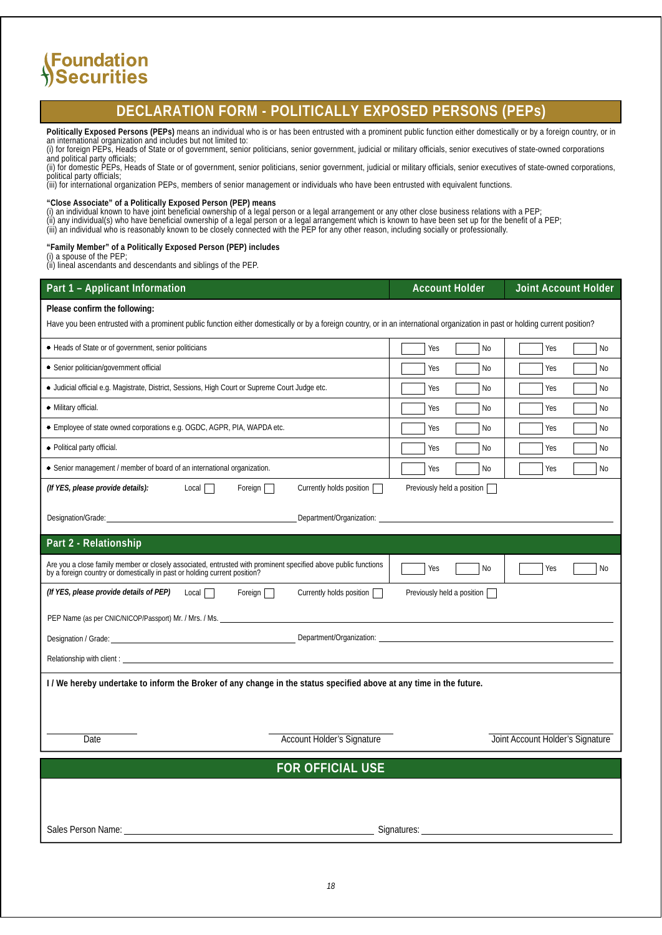## **DECLARATION FORM - POLITICALLY EXPOSED PERSONS (PEPs)**

**Politically Exposed Persons (PEPs)** means an individual who is or has been entrusted with a prominent public function either domestically or by a foreign country, or in an international organization and includes but not limited to:

(i) for foreign PEPs, Heads of State or of government, senior politicians, senior government, judicial or military officials, senior executives of state-owned corporations

and political party officials; (ii) for domestic PEPs, Heads of State or of government, senior politicians, senior government, judicial or military officials, senior executives of state-owned corporations, political party officials;

(iii) for international organization PEPs, members of senior management or individuals who have been entrusted with equivalent functions.

**"Close Associate" of a Politically Exposed Person (PEP) means**

(i) an individual known to have joint beneficial ownership of a legal person or a legal arrangement or any other close business relations with a PEP; (ii) any individual(s) who have beneficial ownership of a legal person or a legal arrangement which is known to have been set up for the benefit of a PEP; (iii) an individual who is reasonably known to be closely connected with the PEP for any other reason, including socially or professionally.

**"Family Member" of a Politically Exposed Person (PEP) includes**

(i) a spouse of the PEP;

(ii) lineal ascendants and descendants and siblings of the PEP.

| Part 1 - Applicant Information                                                                                                                                                              | <b>Account Holder</b>        | Joint Account Holder             |
|---------------------------------------------------------------------------------------------------------------------------------------------------------------------------------------------|------------------------------|----------------------------------|
| Please confirm the following:                                                                                                                                                               |                              |                                  |
| Have you been entrusted with a prominent public function either domestically or by a foreign country, or in an international organization in past or holding current position?              |                              |                                  |
| • Heads of State or of government, senior politicians                                                                                                                                       | Yes<br>No                    | Yes<br>No                        |
| • Senior politician/government official                                                                                                                                                     | No<br>Yes                    | Yes<br>No                        |
| · Judicial official e.g. Magistrate, District, Sessions, High Court or Supreme Court Judge etc.                                                                                             | Yes<br>No                    | Yes<br>No                        |
| • Military official.                                                                                                                                                                        | Yes<br>No                    | Yes<br>No                        |
| · Employee of state owned corporations e.g. OGDC, AGPR, PIA, WAPDA etc.                                                                                                                     | No<br>Yes                    | Yes<br>No                        |
| • Political party official.                                                                                                                                                                 | No<br>Yes                    | Yes<br>No                        |
| • Senior management / member of board of an international organization.                                                                                                                     | Yes<br>No                    | Yes<br>No                        |
| (If YES, please provide details):<br>Local $\Box$<br>Currently holds position<br>Foreign                                                                                                    | Previously held a position [ |                                  |
|                                                                                                                                                                                             |                              |                                  |
| Designation/Grade:<br>Department/Organization:                                                                                                                                              |                              |                                  |
| Part 2 - Relationship                                                                                                                                                                       |                              |                                  |
| Are you a close family member or closely associated, entrusted with prominent specified above public functions<br>by a foreign country or domestically in past or holding current position? | Yes<br>No                    | Yes<br>No                        |
| (If YES, please provide details of PEP) Local<br>Foreign $\Box$<br>Currently holds position                                                                                                 | Previously held a position   |                                  |
| PEP Name (as per CNIC/NICOP/Passport) Mr. / Mrs. / Ms.                                                                                                                                      |                              |                                  |
| Designation / Grade:                                                                                                                                                                        | Department/Organization:     |                                  |
|                                                                                                                                                                                             |                              |                                  |
| I/We hereby undertake to inform the Broker of any change in the status specified above at any time in the future.                                                                           |                              |                                  |
|                                                                                                                                                                                             |                              |                                  |
|                                                                                                                                                                                             |                              |                                  |
| <b>Account Holder's Signature</b><br>Date                                                                                                                                                   |                              | Joint Account Holder's Signature |
| <b>FOR OFFICIAL USE</b>                                                                                                                                                                     |                              |                                  |
|                                                                                                                                                                                             |                              |                                  |
|                                                                                                                                                                                             |                              |                                  |
| <b>Sales Person Name:</b>                                                                                                                                                                   | Signatures:                  |                                  |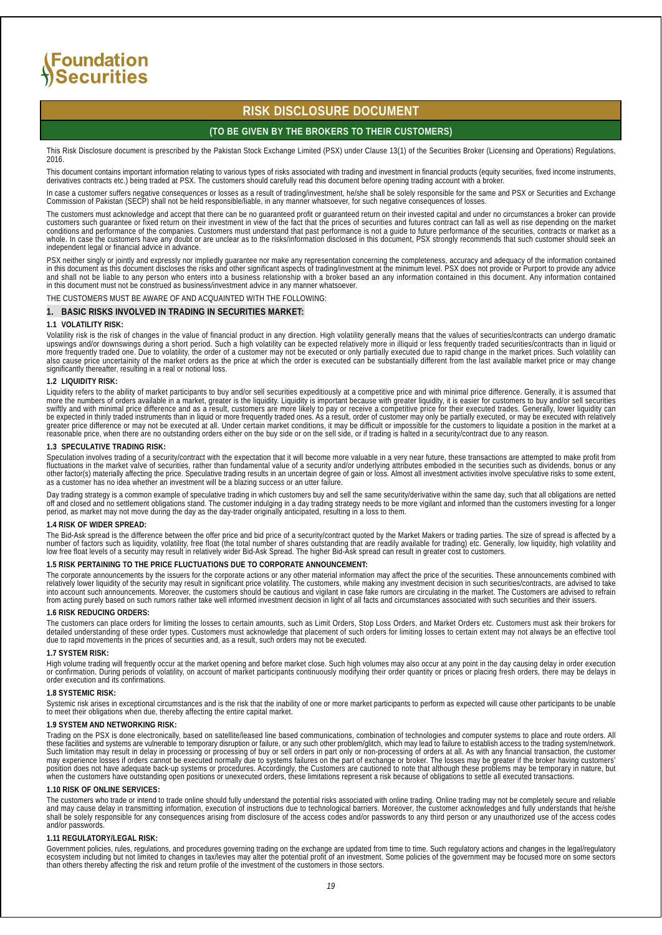### **RISK DISCLOSURE DOCUMENT**

#### **(TO BE GIVEN BY THE BROKERS TO THEIR CUSTOMERS)**

This Risk Disclosure document is prescribed by the Pakistan Stock Exchange Limited (PSX) under Clause 13(1) of the Securities Broker (Licensing and Operations) Regulations, 2016.

This document contains important information relating to various types of risks associated with trading and investment in financial products (equity securities, fixed income instruments,<br>derivatives contracts etc.) being t

In case a customer suffers negative consequences or losses as a result of trading/investment, he/she shall be solely responsible for the same and PSX or Securities and Exchange<br>Commission of Pakistan (SECP) shall not be he

The customers must acknowledge and accept that there can be no guaranteed profit or guaranteed return on their invested capital and under no circumstances a broker can provide<br>customers such guarantee or fixed return on th independent legal or financial advice in advance.

PSX neither singly or jointly and expressly nor impliedly guarantee nor make any representation concerning the completeness, accuracy and adequacy of the information contained<br>in this document as this document discloses th in this document must not be construed as business/investment advice in any manner whatsoever.

#### THE CUSTOMERS MUST BE AWARE OF AND ACQUAINTED WITH THE FOLLOWING:

#### **1. BASIC RISKS INVOLVED IN TRADING IN SECURITIES MARKET:**

#### **1.1 VOLATILITY RISK:**

Volatility risk is the risk of changes in the value of financial product in any direction. High volatility generally means that the values of securities/contracts can undergo dramatic<br>upswings and/or downswings during a sh also cause price uncertainity of the market orders as the price at which the order is executed can be substantially different from the last available market price or may change<br>significantly thereafter, resulting in a real

#### **1.2 LIQUIDITY RISK:**

Liquidity refers to the ability of market participants to buy and/or sell securities expeditiously at a competitive price and with minimal price difference. Generally, it is assumed that more the numbers of orders available in a market, greater is the liquidity. Liquidity is important because with greater liquidity, it is easier for customers to buy and/or sell securities<br>swiftly and with minimal price dif

#### **1.3 SPECULATIVE TRADING RISK:**

Speculation involves trading of a security/contract with the expectation that it will become more valuable in a very near future, these transactions are attempted to make profit from<br>other factor(s) materially affecting th

Day trading strategy is a common example of speculative trading in which customers buy and sell the same security/derivative within the same day, such that all obligations are netted off and closed and no settlement obligations stand. The customer indulging in a day trading strategy needs to be more vigilant and informed than the customers investing for a longer<br>period, as market may not move during th

#### **1.4 RISK OF WIDER SPREAD:**

The Bid-Ask spread is the difference between the offer price and bid price of a security/contract quoted by the Market Makers or trading parties. The size of spread is affected by a number of factors such as liquidity, volatility, free float (the total number of shares outstanding that are readily available for trading) etc. Generally, low liquidity, high volatility and<br>low free float levels of a secu

#### **1.5 RISK PERTAINING TO THE PRICE FLUCTUATIONS DUE TO CORPORATE ANNOUNCEMENT:**

The corporate announcements by the issuers for the corporate actions or any other material information may affect the price of the securities. These announcements combined with<br>interlatively lower liquidity of the security

#### **1.6 RISK REDUCING ORDERS:**

The customers can place orders for limiting the losses to certain amounts, such as Limit Orders, Stop Loss Orders, and Market Orders etc. Customers must ask their brokers for detailed understanding of these order types. Customers must acknowledge that placement of such orders for limiting losses to certain extent may not always be an effective tool<br>due to rapid movements in the prices of securi

#### **1.7 SYSTEM RISK:**

High volume trading will frequently occur at the market opening and before market close. Such high volumes may also occur at any point in the day causing delay in order execution<br>or confirmation. During periods of volatili

#### **1.8 SYSTEMIC RISK:**

Systemic risk arises in exceptional circumstances and is the risk that the inability of one or more market participants to perform as expected will cause other participants to be unable to meet their obligations when due, thereby affecting the entire capital market.

#### **1.9 SYSTEM AND NETWORKING RISK:**

Trading on the PSX is done electronically, based on satellite/leased line based communications, combination of technologies and computer systems to place and route orders. All these facilities and systems are vulnerable to temporary disruption or failure, or any such other problem/glitch, which may lead to failure to establish access to the trading system/network.<br>Such limitation may result in d

#### **1.10 RISK OF ONLINE SERVICES:**

The customers who trade or intend to trade online should fully understand the potential risks associated with online trading. Online trading may not be completely secure and reliable<br>and may cause delay in transmitting inf and/or passwords.

#### **1.11 REGULATORY/LEGAL RISK:**

Government policies, rules, regulations, and procedures governing trading on the exchange are updated from time to time. Such regulatory actions and changes in the legal/regulatory<br>ecosystem including but not limited to ch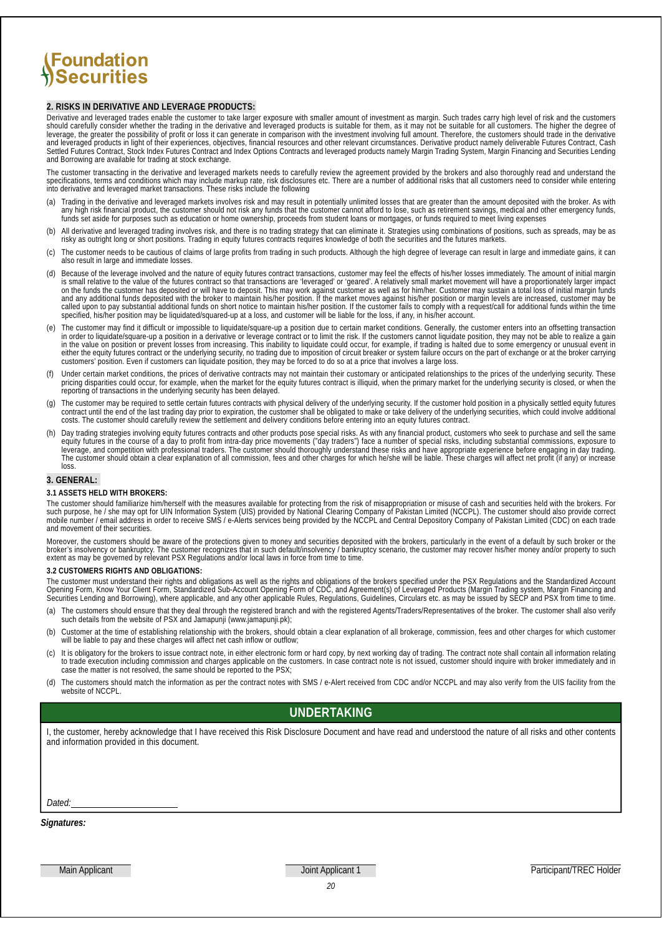#### **2. RISKS IN DERIVATIVE AND LEVERAGE PRODUCTS:**

Derivative and leveraged trades enable the customer to take larger exposure with smaller amount of investment as margin. Such trades carry high level of risk and the customers<br>should carefully consider whether the trading

The customer transacting in the derivative and leveraged markets needs to carefully review the agreement provided by the brokers and also thoroughly read and understand the specifications, terms and conditions which may include markup rate, risk disclosures etc. There are a number of additional risks that all customers need to consider while entering<br>into derivative and leveraged market trans

- (a) Trading in the derivative and leveraged markets involves risk and may result in potentially unlimited losses that are greater than the amount deposited with the broker. As with any high risk financial product, the cust
- (b) All derivative and leveraged trading involves risk, and there is no trading strategy that can eliminate it. Strategies using combinations of positions, such as spreads, may be as risky as outright long or short positio
- (c) The customer needs to be cautious of claims of large profits from trading in such products. Although the high degree of leverage can result in large and immediate gains, it can also result in large and immediate losses.
- (d) Because of the leverage involved and the nature of equity futures contract transactions, customer may feel the effects of his/her losses immediately. The amount of initial margin is small relative to the value of the futures contract so that transactions are 'leveraged' or 'geared'. A relatively small market movement will have a proportionately larger impact<br>on the funds the customer has deposited and any additional funds deposited with the broker to maintain his/her position. If the market moves against his/her position or margin levels are increased, customer may be called upon to pay substantial additional funds on short notice to maintain his/her position. If the customer fails to comply with a request/call for additional funds within the time<br>specified, his/her position may be liqu
- (e) The customer may find it difficult or impossible to liquidate/square-up a position due to certain market conditions. Generally, the customer enters into an offsetting transaction in order to liquidate/square-up a posit
- Under certain market conditions, the prices of derivative contracts may not maintain their customary or anticipated relationships to the prices of the underlying security. These pricing disparities could occur, for example, when the market for the equity futures contract is illiquid, when the primary market for the underlying security is closed, or when the<br>reporting of transactions in the underly
- (g) The customer may be required to settle certain futures contracts with physical delivery of the underlying security. If the customer hold position in a physically settled equity futures contract until the end of the las
- h) Day trading strategies involving equity futures contracts and other products pose special risks. As with any financial product, customers who seek to purchase and sell the same equity futures in the course of a day to p loss

#### **3. GENERAL:**

#### **3.1 ASSETS HELD WITH BROKERS:**

The customer should familiarize him/herself with the measures available for protecting from the risk of misappropriation or misuse of cash and securities held with the brokers. For<br>such purpose, he / she may opt for UIN In and movement of their securities.

Moreover, the customers should be aware of the protections given to money and securities deposited with the brokers, particularly in the event of a default by such broker or the<br>broker's insolvency or bankruptcy. The custo

#### **3.2 CUSTOMERS RIGHTS AND OBLIGATIONS:**

The customer must understand their rights and obligations as well as the rights and obligations of the brokers specified under the PSX Regulations and the Standardized Account<br>Opening Form, Know Your Client Form, Standardi

- (a) The customers should ensure that they deal through the registered branch and with the registered Agents/Traders/Representatives of the broker. The customer shall also verify such details from the website of PSX and Jam
- (b) Customer at the time of establishing relationship with the brokers, should obtain a clear explanation of all brokerage, commission, fees and other charges for which customer will be liable to pay and these charges will affect net cash inflow or outflow;
- (c) It is obligatory for the brokers to issue contract note, in either electronic form or hard copy, by next working day of trading. The contract note shall contain all information relating to trade execution including com
- (d) The customers should match the information as per the contract notes with SMS / e-Alert received from CDC and/or NCCPL and may also verify from the UIS facility from the website of NCCPL.

#### **UNDERTAKING**

I, the customer, hereby acknowledge that I have received this Risk Disclosure Document and have read and understood the nature of all risks and other contents and information provided in this document.

*Dated:*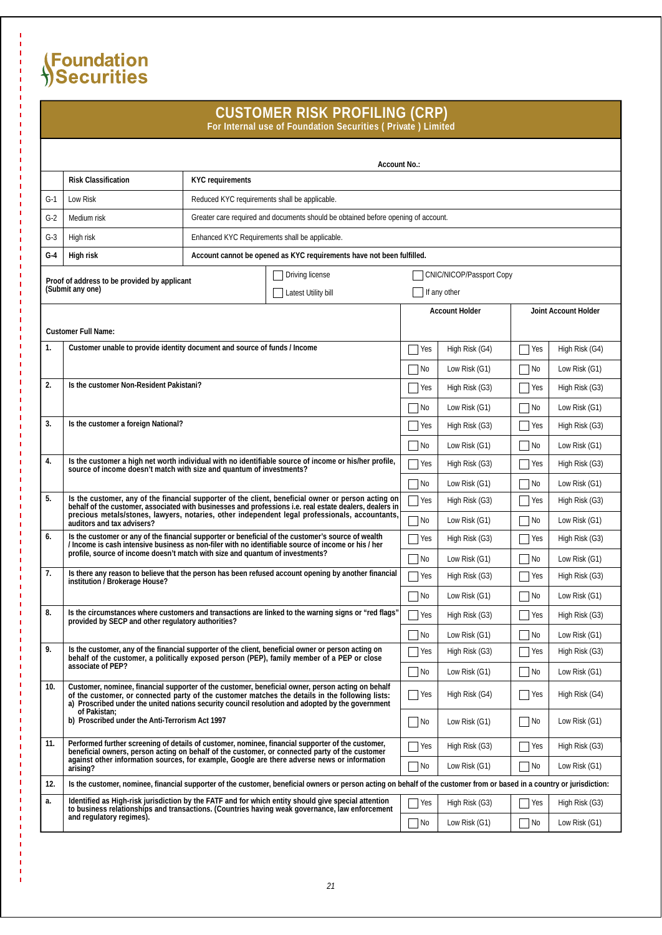## **CUSTOMER RISK PROFILING (CRP)**

**For Internal use of Foundation Securities ( Private ) Limited**

|       | Account No.:                                                                                                                                                                                                                                                                                             |                                                |                                                                                                                                                                                                       |                 |                       |                             |                             |  |
|-------|----------------------------------------------------------------------------------------------------------------------------------------------------------------------------------------------------------------------------------------------------------------------------------------------------------|------------------------------------------------|-------------------------------------------------------------------------------------------------------------------------------------------------------------------------------------------------------|-----------------|-----------------------|-----------------------------|-----------------------------|--|
|       | <b>Risk Classification</b><br><b>KYC</b> requirements                                                                                                                                                                                                                                                    |                                                |                                                                                                                                                                                                       |                 |                       |                             |                             |  |
| $G-1$ | <b>Low Risk</b><br>Reduced KYC requirements shall be applicable.                                                                                                                                                                                                                                         |                                                |                                                                                                                                                                                                       |                 |                       |                             |                             |  |
| $G-2$ | Greater care required and documents should be obtained before opening of account.<br>Medium risk                                                                                                                                                                                                         |                                                |                                                                                                                                                                                                       |                 |                       |                             |                             |  |
| $G-3$ | High risk                                                                                                                                                                                                                                                                                                | Enhanced KYC Requirements shall be applicable. |                                                                                                                                                                                                       |                 |                       |                             |                             |  |
| G-4   | High risk                                                                                                                                                                                                                                                                                                |                                                | Account cannot be opened as KYC requirements have not been fulfilled.                                                                                                                                 |                 |                       |                             |                             |  |
|       | Driving license<br><b>CNIC/NICOP/Passport Copy</b>                                                                                                                                                                                                                                                       |                                                |                                                                                                                                                                                                       |                 |                       |                             |                             |  |
|       | Proof of address to be provided by applicant<br>(Submit any one)                                                                                                                                                                                                                                         |                                                | Latest Utility bill                                                                                                                                                                                   |                 | If any other          |                             |                             |  |
|       |                                                                                                                                                                                                                                                                                                          |                                                |                                                                                                                                                                                                       |                 | <b>Account Holder</b> |                             | <b>Joint Account Holder</b> |  |
|       | <b>Customer Full Name:</b>                                                                                                                                                                                                                                                                               |                                                |                                                                                                                                                                                                       |                 |                       |                             |                             |  |
| 1.    | Customer unable to provide identity document and source of funds / Income                                                                                                                                                                                                                                |                                                |                                                                                                                                                                                                       | Yes             | High Risk (G4)        | Yes                         | High Risk (G4)              |  |
|       |                                                                                                                                                                                                                                                                                                          |                                                |                                                                                                                                                                                                       | No              | Low Risk $(G1)$       | No                          | Low Risk $(G1)$             |  |
| 2.    | Is the customer Non-Resident Pakistani?                                                                                                                                                                                                                                                                  |                                                |                                                                                                                                                                                                       | Yes             | High Risk (G3)        | Yes                         | High Risk (G3)              |  |
|       |                                                                                                                                                                                                                                                                                                          |                                                |                                                                                                                                                                                                       | No              | Low Risk $(G1)$       | No                          | Low Risk $(G1)$             |  |
| 3.    | Is the customer a foreign National?                                                                                                                                                                                                                                                                      |                                                |                                                                                                                                                                                                       | Yes             | High Risk (G3)        | Yes                         | High Risk (G3)              |  |
|       |                                                                                                                                                                                                                                                                                                          |                                                |                                                                                                                                                                                                       | No              | Low Risk $(G1)$       | No                          | Low Risk $(G1)$             |  |
| 4.    | Is the customer a high net worth individual with no identifiable source of income or his/her profile,                                                                                                                                                                                                    |                                                |                                                                                                                                                                                                       |                 | High Risk (G3)        | Yes                         | High Risk (G3)              |  |
|       | source of income doesn't match with size and quantum of investments?                                                                                                                                                                                                                                     |                                                |                                                                                                                                                                                                       |                 | Low Risk $(G1)$       | No                          | Low Risk (G1)               |  |
| 5.    | Is the customer, any of the financial supporter of the client, beneficial owner or person acting on                                                                                                                                                                                                      |                                                |                                                                                                                                                                                                       |                 | High Risk (G3)        | Yes                         | High Risk (G3)              |  |
|       | behalf of the customer, associated with businesses and professions i.e. real estate dealers, dealers in<br>precious metals/stones, lawyers, notaries, other independent legal professionals, accountants,<br>auditors and tax advisers?                                                                  |                                                |                                                                                                                                                                                                       |                 | Low Risk $(G1)$       | $\overline{\phantom{a}}$ No | Low Risk $(G1)$             |  |
| 6.    |                                                                                                                                                                                                                                                                                                          |                                                | Is the customer or any of the financial supporter or beneficial of the customer's source of wealth                                                                                                    | Yes             | High Risk (G3)        | Yes                         | High Risk (G3)              |  |
|       | / Income is cash intensive business as non-filer with no identifiable source of income or his / her<br>profile, source of income doesn't match with size and quantum of investments?                                                                                                                     |                                                |                                                                                                                                                                                                       |                 | Low Risk $(G1)$       | No                          | Low Risk $(G1)$             |  |
| 7.    | Is there any reason to believe that the person has been refused account opening by another financial<br>institution / Brokerage House?                                                                                                                                                                   | Yes                                            | High Risk (G3)                                                                                                                                                                                        | Yes             | High Risk (G3)        |                             |                             |  |
|       |                                                                                                                                                                                                                                                                                                          |                                                |                                                                                                                                                                                                       |                 | Low Risk $(G1)$       | No                          | Low Risk $(G1)$             |  |
| 8.    |                                                                                                                                                                                                                                                                                                          |                                                | "Is the circumstances where customers and transactions are linked to the warning signs or "red flags                                                                                                  | Yes             | High $Risk(G3)$       | Yes                         | High Risk (G3)              |  |
|       | provided by SECP and other regulatory authorities?                                                                                                                                                                                                                                                       |                                                |                                                                                                                                                                                                       | No              | Low Risk $(G1)$       | No                          | Low Risk $(G1)$             |  |
| 9.    | Is the customer, any of the financial supporter of the client, beneficial owner or person acting on                                                                                                                                                                                                      |                                                | behalf of the customer, a politically exposed person (PEP), family member of a PEP or close                                                                                                           | Yes             | High Risk (G3)        | Yes                         | High Risk (G3)              |  |
|       | associate of PEP?                                                                                                                                                                                                                                                                                        |                                                |                                                                                                                                                                                                       | No              | Low Risk $(G1)$       | $ $ No                      | Low Risk $(G1)$             |  |
| 10.   | Customer, nominee, financial supporter of the customer, beneficial owner, person acting on behalf<br>of the customer, or connected party of the customer matches the details in the following lists:<br>a) Proscribed under the united nations security council resolution and adopted by the government |                                                |                                                                                                                                                                                                       | Yes             | High Risk (G4)        | Yes                         | High Risk (G4)              |  |
|       | of Pakistan;<br>b) Proscribed under the Anti-Terrorism Act 1997                                                                                                                                                                                                                                          |                                                |                                                                                                                                                                                                       |                 | Low Risk $(G1)$       | No                          | Low Risk $(G1)$             |  |
| 11.   |                                                                                                                                                                                                                                                                                                          |                                                | Performed further screening of details of customer, nominee, financial supporter of the customer,<br>beneficial owners, person acting on behalf of the customer, or connected party of the customer   | Yes             | High Risk (G3)        | Yes                         | High Risk (G3)              |  |
|       | against other information sources, for example, Google are there adverse news or information<br>arising?                                                                                                                                                                                                 |                                                |                                                                                                                                                                                                       | No              | Low Risk $(G1)$       | $ $ No                      | Low Risk $(G1)$             |  |
| 12.   |                                                                                                                                                                                                                                                                                                          |                                                | Is the customer, nominee, financial supporter of the customer, beneficial owners or person acting on behalf of the customer from or based in a country or jurisdiction:                               |                 |                       |                             |                             |  |
| a.    |                                                                                                                                                                                                                                                                                                          |                                                | Identified as High-risk jurisdiction by the FATF and for which entity should give special attention<br>to business relationships and transactions. (Countries having weak governance, law enforcement | Yes             | High Risk (G3)        | Yes                         | High Risk (G3)              |  |
|       | and regulatory regimes).                                                                                                                                                                                                                                                                                 |                                                | No                                                                                                                                                                                                    | Low Risk $(G1)$ | No                    | Low Risk $(G1)$             |                             |  |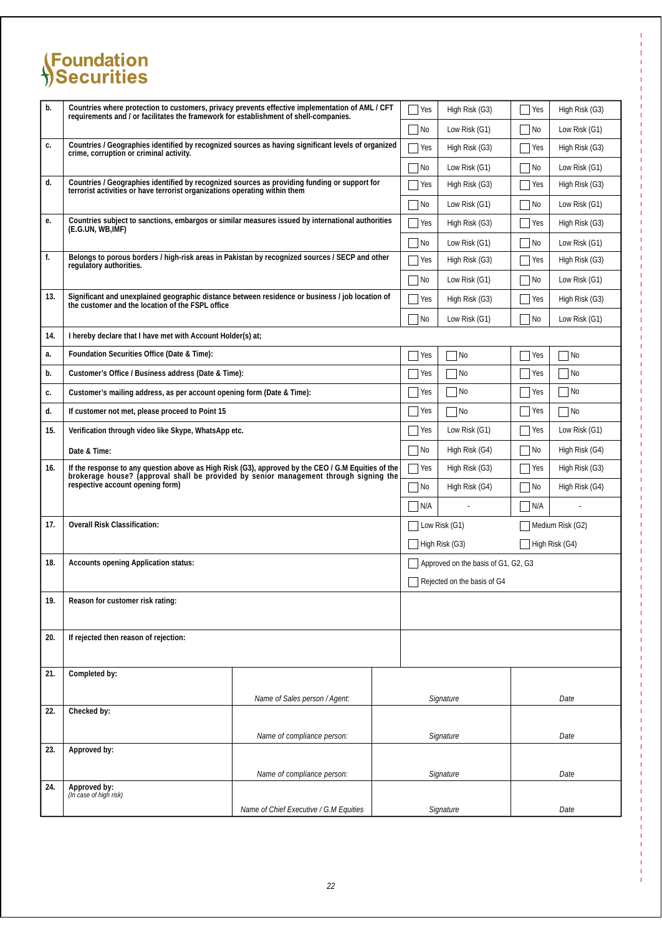| b.  | Countries where protection to customers, privacy prevents effective implementation of AML / CFT requirements and / or facilitates the framework for establishment of shell-companies.       |                                        | $\Box$ Yes                  | High Risk (G3)                      | $\vert$ Yes | High Risk (G3)              |
|-----|---------------------------------------------------------------------------------------------------------------------------------------------------------------------------------------------|----------------------------------------|-----------------------------|-------------------------------------|-------------|-----------------------------|
|     |                                                                                                                                                                                             |                                        |                             | Low Risk $(G1)$                     | $ $ No      | Low Risk $(G1)$             |
| c.  | Countries / Geographies identified by recognized sources as having significant levels of organized<br>crime, corruption or criminal activity.                                               |                                        |                             | High Risk (G3)                      | Yes         | High Risk (G3)              |
|     |                                                                                                                                                                                             |                                        | $ $ No                      | Low Risk $(G1)$                     | $ $ No      | Low Risk $(G1)$             |
| d.  | Countries / Geographies identified by recognized sources as providing funding or support for<br>terrorist activities or have terrorist organizations operating within them                  |                                        | Yes                         | High Risk (G3)                      | Yes         | High Risk (G3)              |
|     |                                                                                                                                                                                             |                                        | $\blacksquare$ No           | Low Risk $(G1)$                     | $ $ No      | Low Risk $(G1)$             |
| е.  | Countries subject to sanctions, embargos or similar measures issued by international authorities<br>(E.G.UN, WB,IMF)                                                                        |                                        | $\Box$ Yes                  | High Risk (G3)                      | Yes         | High Risk (G3)              |
|     |                                                                                                                                                                                             |                                        | $\overline{\phantom{a}}$ No | Low Risk $(G1)$                     | $\neg$ No   | Low Risk $(G1)$             |
| f.  | Belongs to porous borders / high-risk areas in Pakistan by recognized sources / SECP and other<br>regulatory authorities.                                                                   |                                        | Yes                         | High Risk (G3)                      | Yes         | High Risk (G3)              |
|     |                                                                                                                                                                                             |                                        | $\overline{\phantom{a}}$ No | Low Risk $(G1)$                     | $ $ No      | Low Risk $(G1)$             |
| 13. | Significant and unexplained geographic distance between residence or business / job location of<br>the customer and the location of the FSPL office                                         |                                        | Yes                         | High Risk (G3)                      | Yes         | High Risk (G3)              |
|     |                                                                                                                                                                                             |                                        | $\Box$ No                   | Low Risk $(G1)$                     | $\neg$ No   | Low Risk $(G1)$             |
| 14. | I hereby declare that I have met with Account Holder(s) at;                                                                                                                                 |                                        |                             |                                     |             |                             |
| a.  | Foundation Securities Office (Date & Time):                                                                                                                                                 |                                        | Yes                         | N <sub>0</sub>                      | Yes         | $\n  1$ No                  |
| b.  | Customer's Office / Business address (Date & Time):                                                                                                                                         |                                        | Yes                         | $\overline{\phantom{a}}$ No         | Yes         | $\n  1$ No                  |
| c.  | Customer's mailing address, as per account opening form (Date & Time):                                                                                                                      |                                        | $\vert$ Yes                 | No                                  | Yes         | $\overline{\phantom{a}}$ No |
| d.  | If customer not met, please proceed to Point 15                                                                                                                                             |                                        | Yes                         | N <sub>0</sub>                      | Yes         | $\blacksquare$ No           |
| 15. | Verification through video like Skype, WhatsApp etc.                                                                                                                                        |                                        | Yes                         | Low Risk $(G1)$                     | Yes         | Low Risk $(G1)$             |
|     | Date & Time:                                                                                                                                                                                |                                        | $\n  No\n$                  | High Risk (G4)                      | $\n  n$     | High Risk (G4)              |
| 16. | If the response to any question above as High Risk (G3), approved by the CEO / G.M Equities of the<br>brokerage house? (approval shall be provided by senior management through signing the |                                        | $\blacksquare$ Yes          | High Risk (G3)                      | Yes         | High Risk (G3)              |
|     | respective account opening form)                                                                                                                                                            |                                        |                             | High Risk (G4)                      | $ $ No      | High Risk (G4)              |
|     |                                                                                                                                                                                             |                                        |                             |                                     | $\n  N/A\n$ |                             |
| 17. | <b>Overall Risk Classification:</b>                                                                                                                                                         |                                        |                             | Low Risk (G1)                       |             | Medium Risk (G2)            |
|     |                                                                                                                                                                                             |                                        |                             | High Risk (G3)                      |             | High Risk (G4)              |
| 18. | <b>Accounts opening Application status:</b>                                                                                                                                                 |                                        |                             | Approved on the basis of G1, G2, G3 |             |                             |
|     |                                                                                                                                                                                             |                                        |                             | Rejected on the basis of G4         |             |                             |
| 19. | Reason for customer risk rating:                                                                                                                                                            |                                        |                             |                                     |             |                             |
| 20. | If rejected then reason of rejection:                                                                                                                                                       |                                        |                             |                                     |             |                             |
| 21. | Completed by:                                                                                                                                                                               |                                        |                             |                                     |             |                             |
| 22. | Checked by:                                                                                                                                                                                 | Name of Sales person / Agent:          |                             | Signature                           |             | Date                        |
|     |                                                                                                                                                                                             |                                        |                             |                                     |             |                             |
| 23. | Approved by:                                                                                                                                                                                | Name of compliance person:             |                             | Signature                           |             | Date                        |
|     |                                                                                                                                                                                             |                                        |                             |                                     |             |                             |
|     |                                                                                                                                                                                             | Name of compliance person:             |                             | Signature                           |             | Date                        |
| 24. | Approved by:<br>(In case of high risk)                                                                                                                                                      |                                        |                             |                                     |             |                             |
|     |                                                                                                                                                                                             | Name of Chief Executive / G.M Equities |                             | Signature                           |             | Date                        |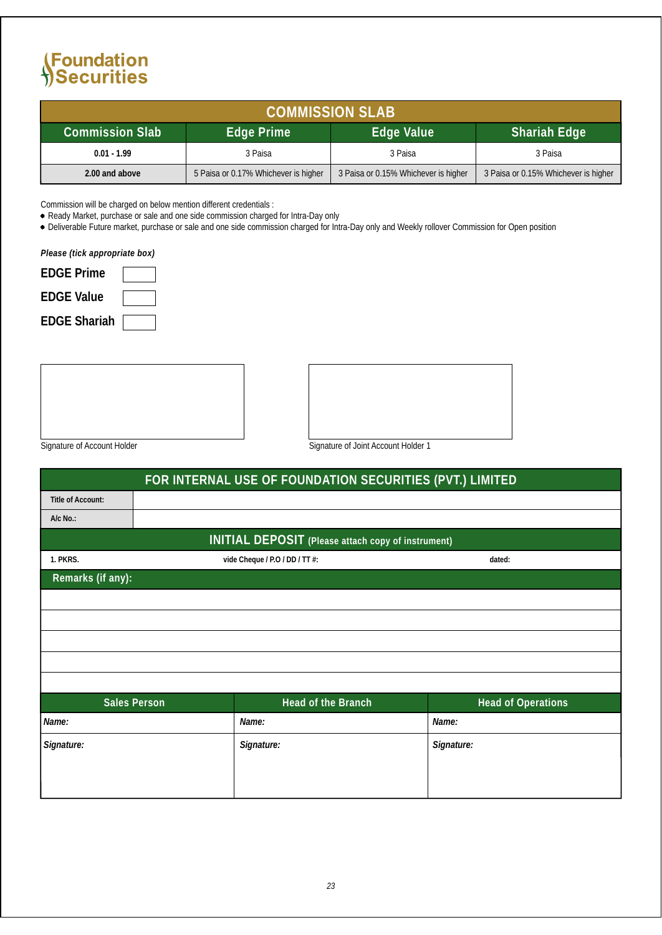| <b>COMMISSION SLAB</b> |                                      |                                      |                                      |  |  |  |
|------------------------|--------------------------------------|--------------------------------------|--------------------------------------|--|--|--|
| Commission Slab'       | Shariah Edge                         |                                      |                                      |  |  |  |
| $0.01 - 1.99$          | 3 Paisa                              | 3 Paisa                              | 3 Paisa                              |  |  |  |
| 2.00 and above         | 5 Paisa or 0.17% Whichever is higher | 3 Paisa or 0.15% Whichever is higher | 3 Paisa or 0.15% Whichever is higher |  |  |  |

Commission will be charged on below mention different credentials :

Ready Market, purchase or sale and one side commission charged for Intra-Day only

Deliverable Future market, purchase or sale and one side commission charged for Intra-Day only and Weekly rollover Commission for Open position

*Please (tick appropriate box)*

| <b>EDGE</b> Prime   |  |
|---------------------|--|
| <b>EDGE Value</b>   |  |
| <b>EDGE Shariah</b> |  |

Signature of Account Holder Signature of Joint Account Holder 1

|                          | FOR INTERNAL USE OF FOUNDATION SECURITIES (PVT.) LIMITED |                                                           |                           |  |  |  |  |  |
|--------------------------|----------------------------------------------------------|-----------------------------------------------------------|---------------------------|--|--|--|--|--|
| <b>Title of Account:</b> |                                                          |                                                           |                           |  |  |  |  |  |
| $A/c$ No.:               |                                                          |                                                           |                           |  |  |  |  |  |
|                          |                                                          | <b>INITIAL DEPOSIT</b> (Please attach copy of instrument) |                           |  |  |  |  |  |
| 1. PKRS.                 |                                                          | vide Cheque / P.O / DD / TT #:                            | dated:                    |  |  |  |  |  |
| Remarks (if any):        |                                                          |                                                           |                           |  |  |  |  |  |
|                          |                                                          |                                                           |                           |  |  |  |  |  |
|                          |                                                          |                                                           |                           |  |  |  |  |  |
|                          |                                                          |                                                           |                           |  |  |  |  |  |
|                          |                                                          |                                                           |                           |  |  |  |  |  |
|                          |                                                          |                                                           |                           |  |  |  |  |  |
|                          | <b>Sales Person</b>                                      | <b>Head of the Branch</b>                                 | <b>Head of Operations</b> |  |  |  |  |  |
| Name:                    |                                                          | Name:                                                     | Name:                     |  |  |  |  |  |
| Signature:               |                                                          | Signature:                                                | Signature:                |  |  |  |  |  |
|                          |                                                          |                                                           |                           |  |  |  |  |  |
|                          |                                                          |                                                           |                           |  |  |  |  |  |
|                          |                                                          |                                                           |                           |  |  |  |  |  |